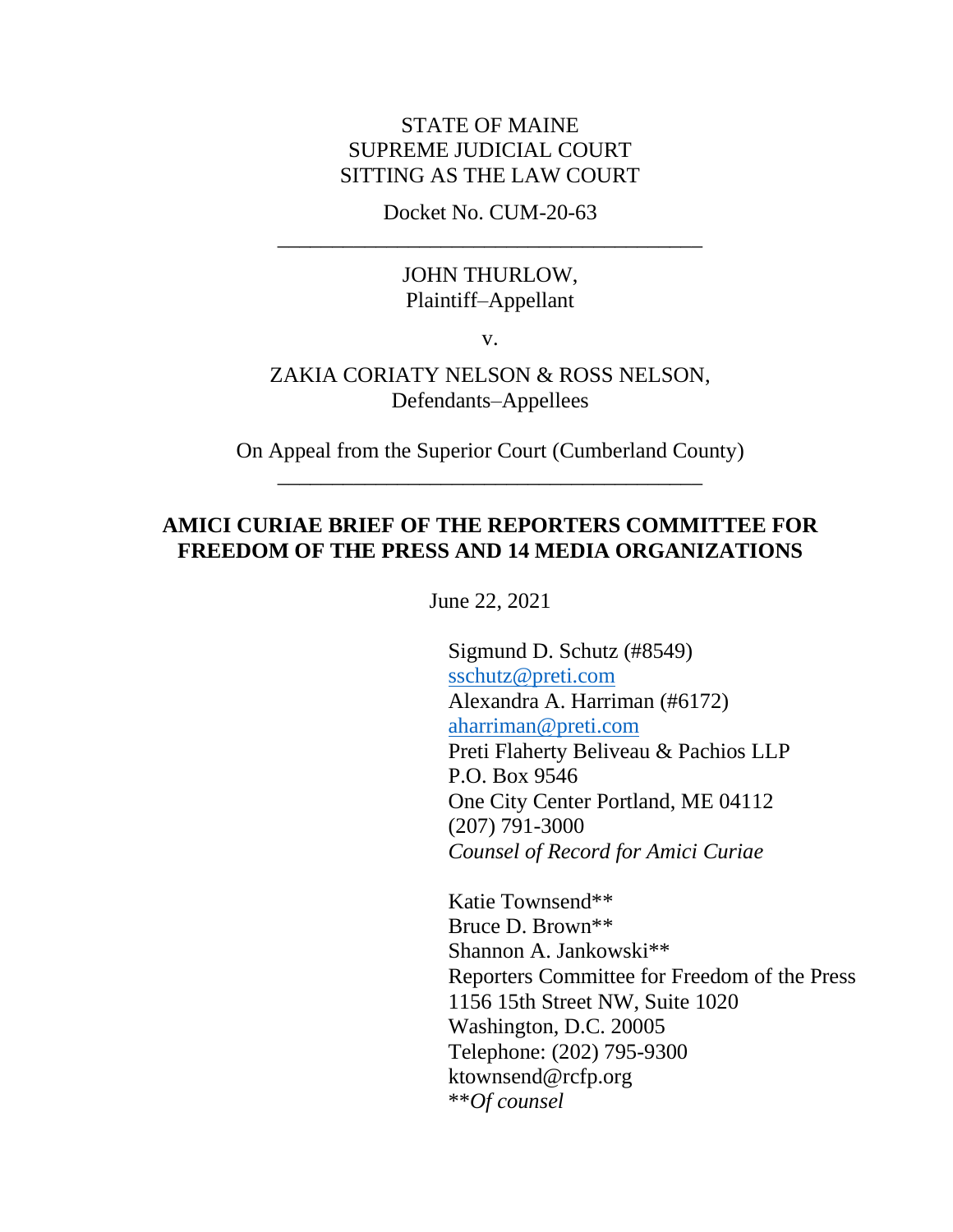### STATE OF MAINE SUPREME JUDICIAL COURT SITTING AS THE LAW COURT

Docket No. CUM-20-63 \_\_\_\_\_\_\_\_\_\_\_\_\_\_\_\_\_\_\_\_\_\_\_\_\_\_\_\_\_\_\_\_\_\_\_\_\_\_\_

#### JOHN THURLOW, Plaintiff–Appellant

v.

#### ZAKIA CORIATY NELSON & ROSS NELSON, Defendants–Appellees

On Appeal from the Superior Court (Cumberland County) \_\_\_\_\_\_\_\_\_\_\_\_\_\_\_\_\_\_\_\_\_\_\_\_\_\_\_\_\_\_\_\_\_\_\_\_\_\_\_

### **AMICI CURIAE BRIEF OF THE REPORTERS COMMITTEE FOR FREEDOM OF THE PRESS AND 14 MEDIA ORGANIZATIONS**

June 22, 2021

Sigmund D. Schutz (#8549) [sschutz@preti.com](mailto:sschutz@preti.com) Alexandra A. Harriman (#6172) [aharriman@preti.com](mailto:aharriman@preti.com) Preti Flaherty Beliveau & Pachios LLP P.O. Box 9546 One City Center Portland, ME 04112 (207) 791-3000 *Counsel of Record for Amici Curiae*

Katie Townsend\*\* Bruce D. Brown\*\* Shannon A. Jankowski\*\* Reporters Committee for Freedom of the Press 1156 15th Street NW, Suite 1020 Washington, D.C. 20005 Telephone: (202) 795-9300 ktownsend@rcfp.org \*\**Of counsel*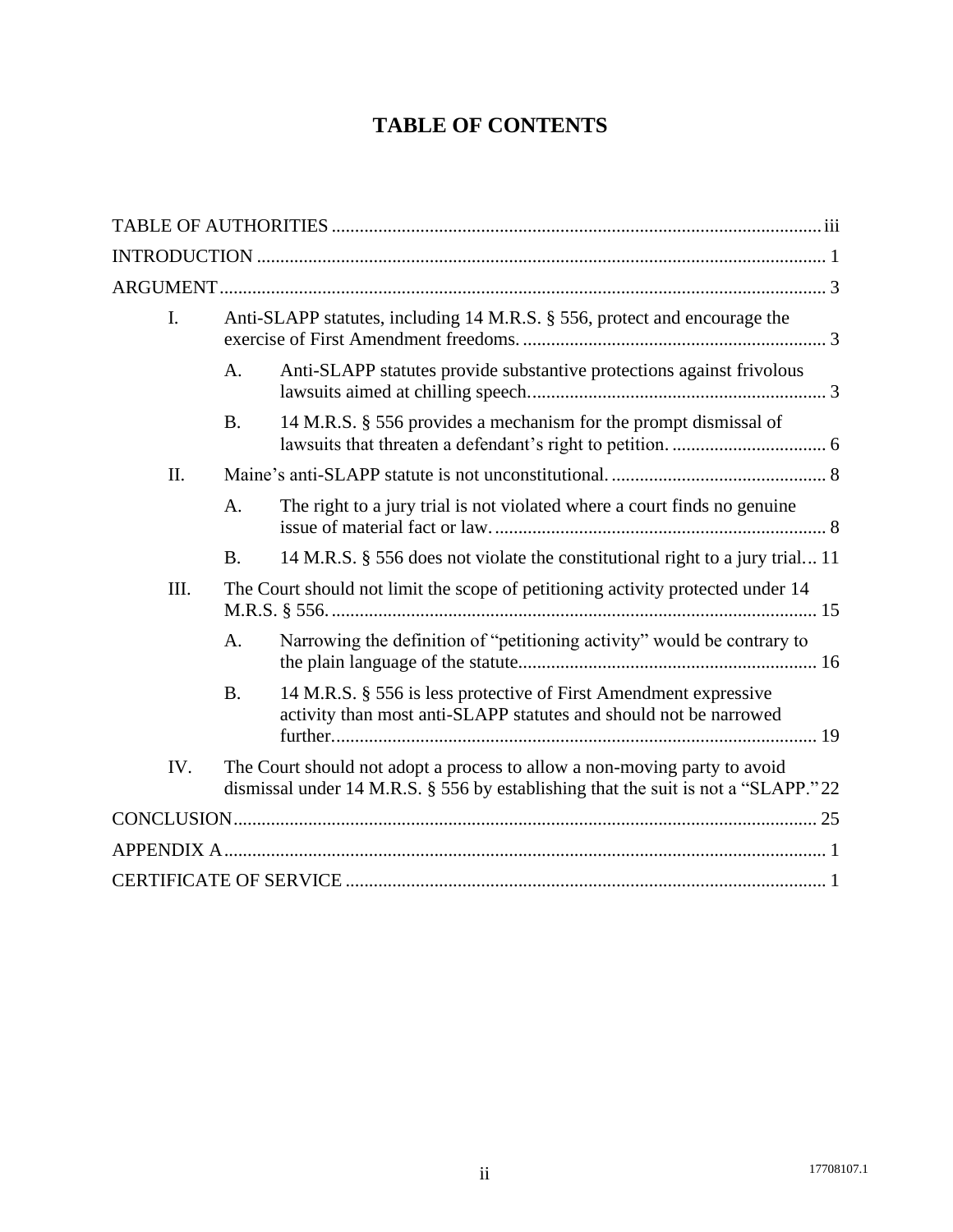# **TABLE OF CONTENTS**

| I.   | Anti-SLAPP statutes, including 14 M.R.S. § 556, protect and encourage the                                                                                      |                                                                                                                                       |
|------|----------------------------------------------------------------------------------------------------------------------------------------------------------------|---------------------------------------------------------------------------------------------------------------------------------------|
|      | A.                                                                                                                                                             | Anti-SLAPP statutes provide substantive protections against frivolous                                                                 |
|      | <b>B.</b>                                                                                                                                                      | 14 M.R.S. § 556 provides a mechanism for the prompt dismissal of                                                                      |
| Π.   |                                                                                                                                                                |                                                                                                                                       |
|      | A.                                                                                                                                                             | The right to a jury trial is not violated where a court finds no genuine                                                              |
|      | <b>B.</b>                                                                                                                                                      | 14 M.R.S. § 556 does not violate the constitutional right to a jury trial 11                                                          |
| III. |                                                                                                                                                                | The Court should not limit the scope of petitioning activity protected under 14                                                       |
|      | A.                                                                                                                                                             | Narrowing the definition of "petitioning activity" would be contrary to                                                               |
|      | <b>B.</b>                                                                                                                                                      | 14 M.R.S. § 556 is less protective of First Amendment expressive<br>activity than most anti-SLAPP statutes and should not be narrowed |
| IV.  | The Court should not adopt a process to allow a non-moving party to avoid<br>dismissal under 14 M.R.S. § 556 by establishing that the suit is not a "SLAPP."22 |                                                                                                                                       |
|      |                                                                                                                                                                |                                                                                                                                       |
|      |                                                                                                                                                                |                                                                                                                                       |
|      |                                                                                                                                                                |                                                                                                                                       |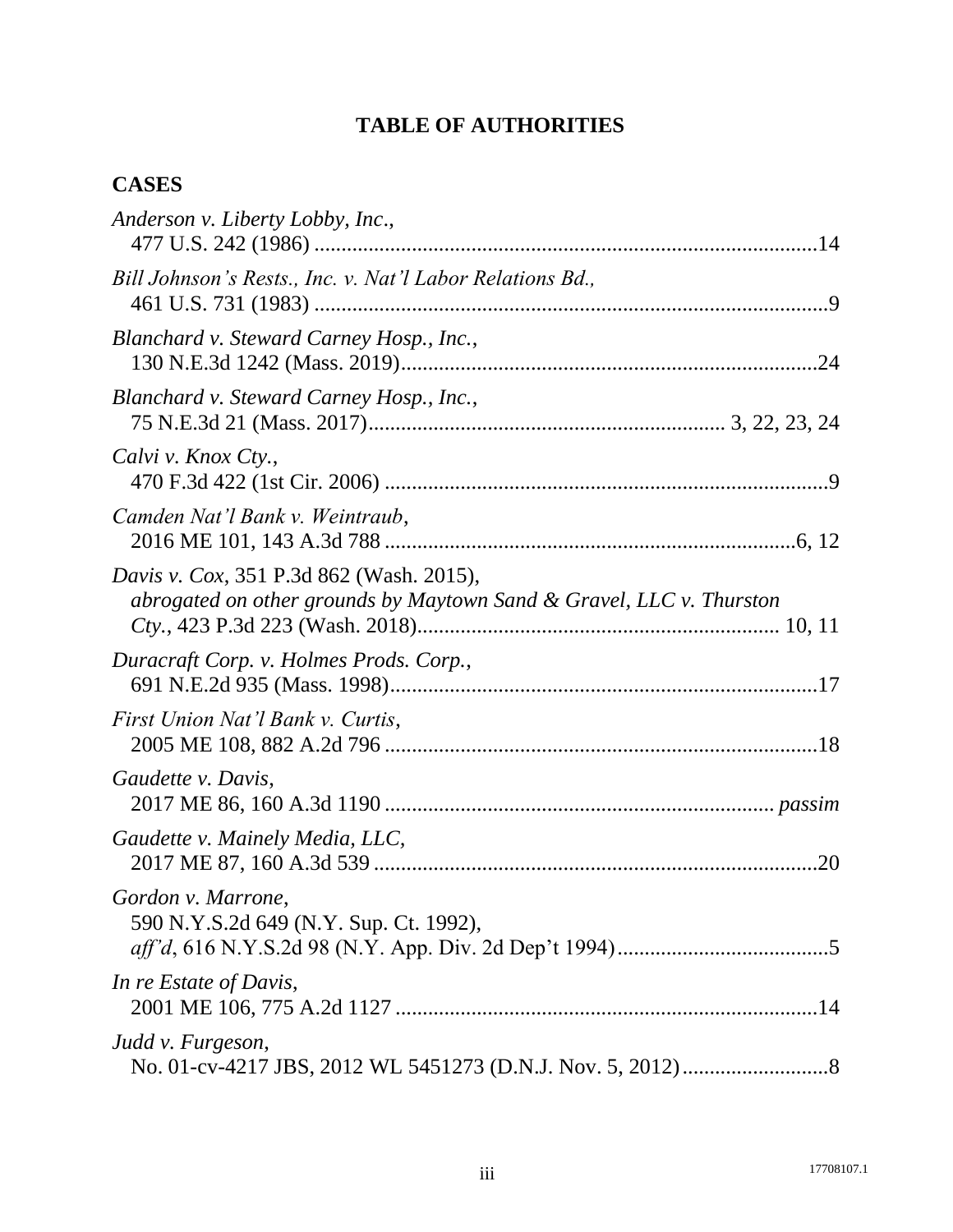# **TABLE OF AUTHORITIES**

## <span id="page-2-0"></span>**CASES**

| Anderson v. Liberty Lobby, Inc.,                                                                                        |     |
|-------------------------------------------------------------------------------------------------------------------------|-----|
| Bill Johnson's Rests., Inc. v. Nat'l Labor Relations Bd.,                                                               |     |
| Blanchard v. Steward Carney Hosp., Inc.,                                                                                |     |
| Blanchard v. Steward Carney Hosp., Inc.,                                                                                |     |
| Calvi v. Knox Cty.,                                                                                                     |     |
| Camden Nat'l Bank v. Weintraub,                                                                                         |     |
| <i>Davis v. Cox,</i> 351 P.3d 862 (Wash. 2015),<br>abrogated on other grounds by Maytown Sand & Gravel, LLC v. Thurston |     |
| Duracraft Corp. v. Holmes Prods. Corp.,                                                                                 |     |
| First Union Nat'l Bank v. Curtis,                                                                                       |     |
| Gaudette v. Davis,                                                                                                      |     |
| Gaudette v. Mainely Media, LLC,                                                                                         | .20 |
| Gordon v. Marrone,<br>590 N.Y.S.2d 649 (N.Y. Sup. Ct. 1992),                                                            |     |
| In re Estate of Davis,                                                                                                  |     |
| Judd v. Furgeson,                                                                                                       |     |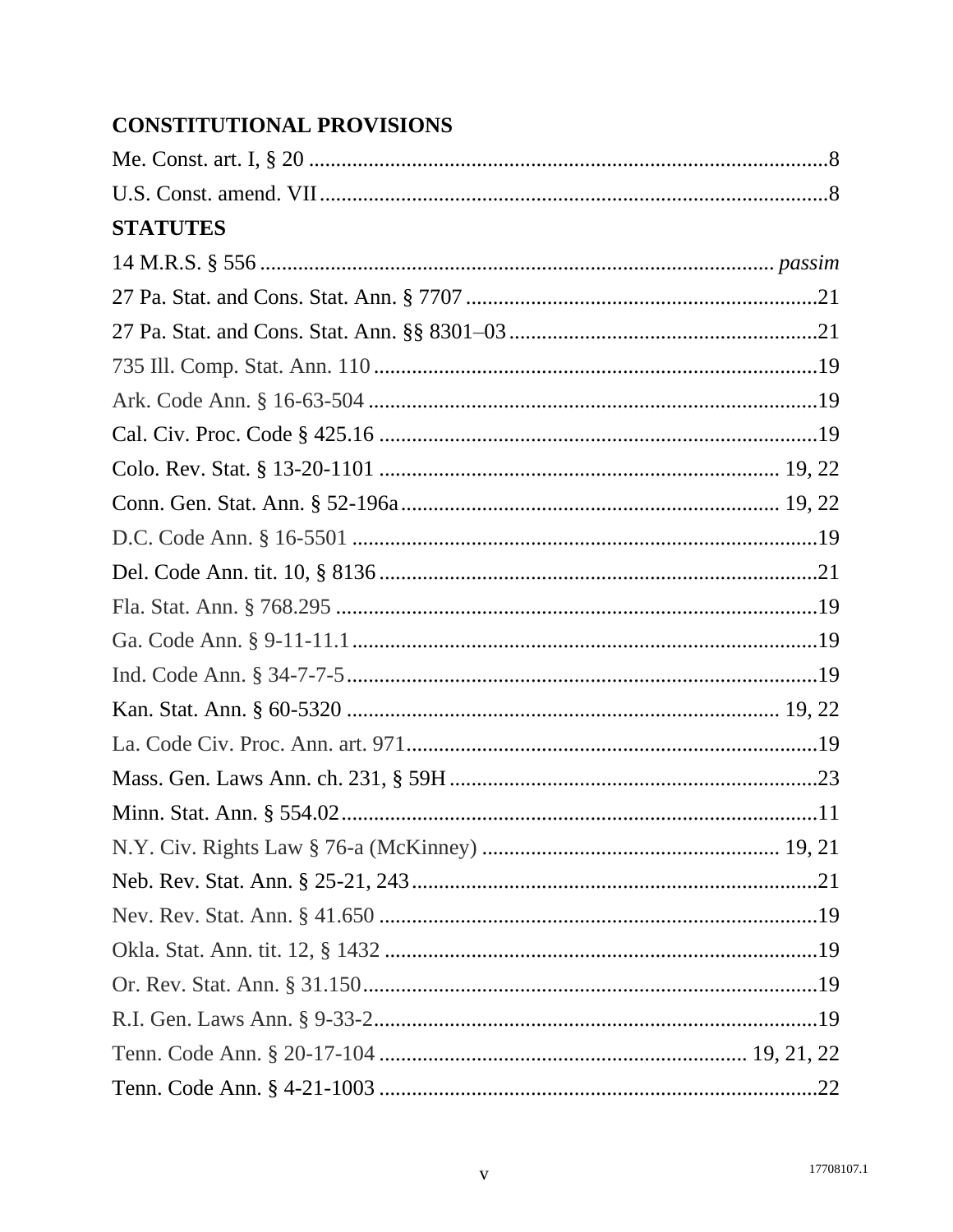# **CONSTITUTIONAL PROVISIONS**

| <b>STATUTES</b> |  |
|-----------------|--|
|                 |  |
|                 |  |
|                 |  |
|                 |  |
|                 |  |
|                 |  |
|                 |  |
|                 |  |
|                 |  |
|                 |  |
|                 |  |
|                 |  |
|                 |  |
|                 |  |
|                 |  |
|                 |  |
|                 |  |
|                 |  |
|                 |  |
|                 |  |
|                 |  |
|                 |  |
|                 |  |
|                 |  |
|                 |  |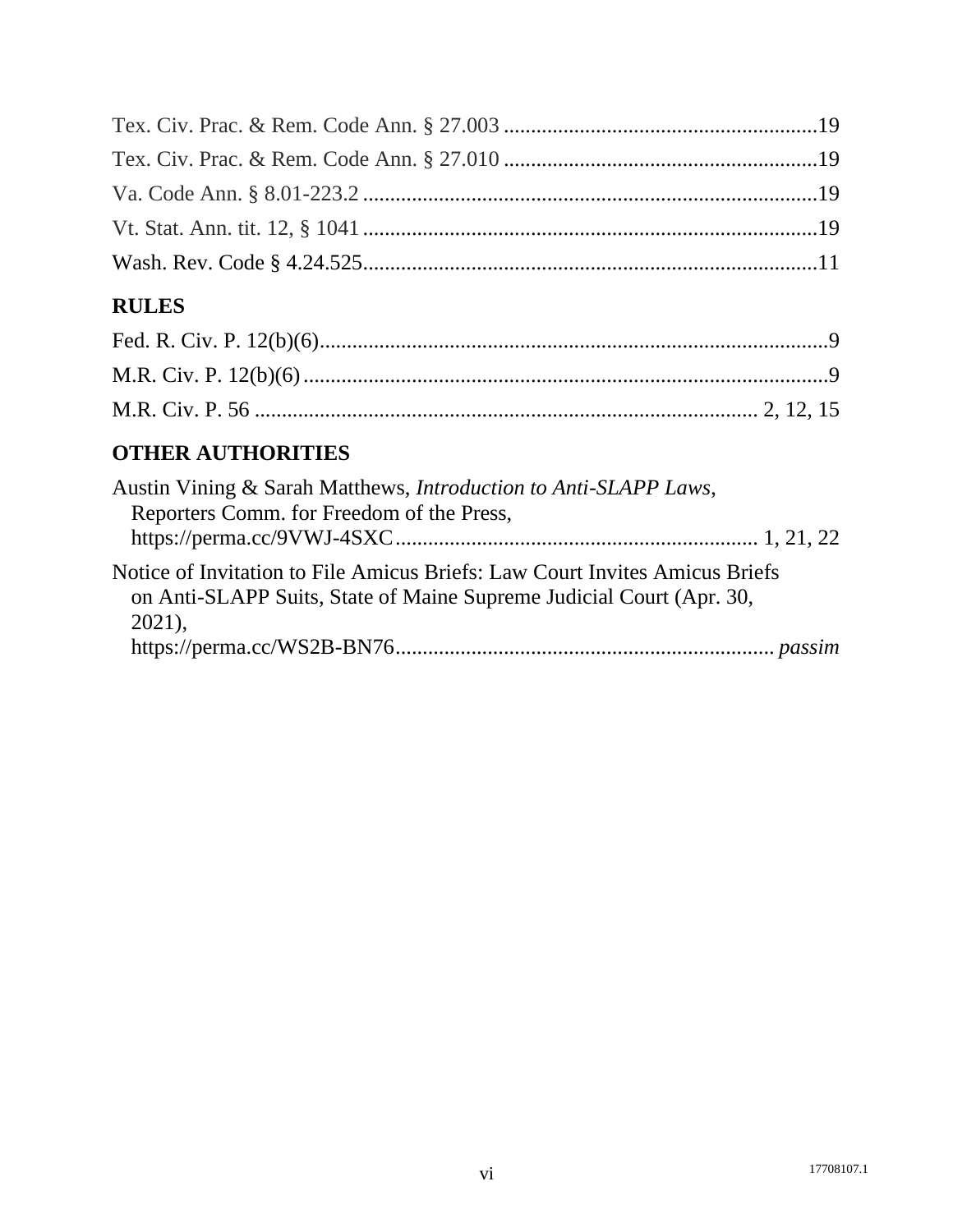# **RULES**

# **OTHER AUTHORITIES**

| Austin Vining & Sarah Matthews, <i>Introduction to Anti-SLAPP Laws</i> ,<br>Reporters Comm. for Freedom of the Press,                                           |  |
|-----------------------------------------------------------------------------------------------------------------------------------------------------------------|--|
| Notice of Invitation to File Amicus Briefs: Law Court Invites Amicus Briefs<br>on Anti-SLAPP Suits, State of Maine Supreme Judicial Court (Apr. 30,<br>$2021$ , |  |
|                                                                                                                                                                 |  |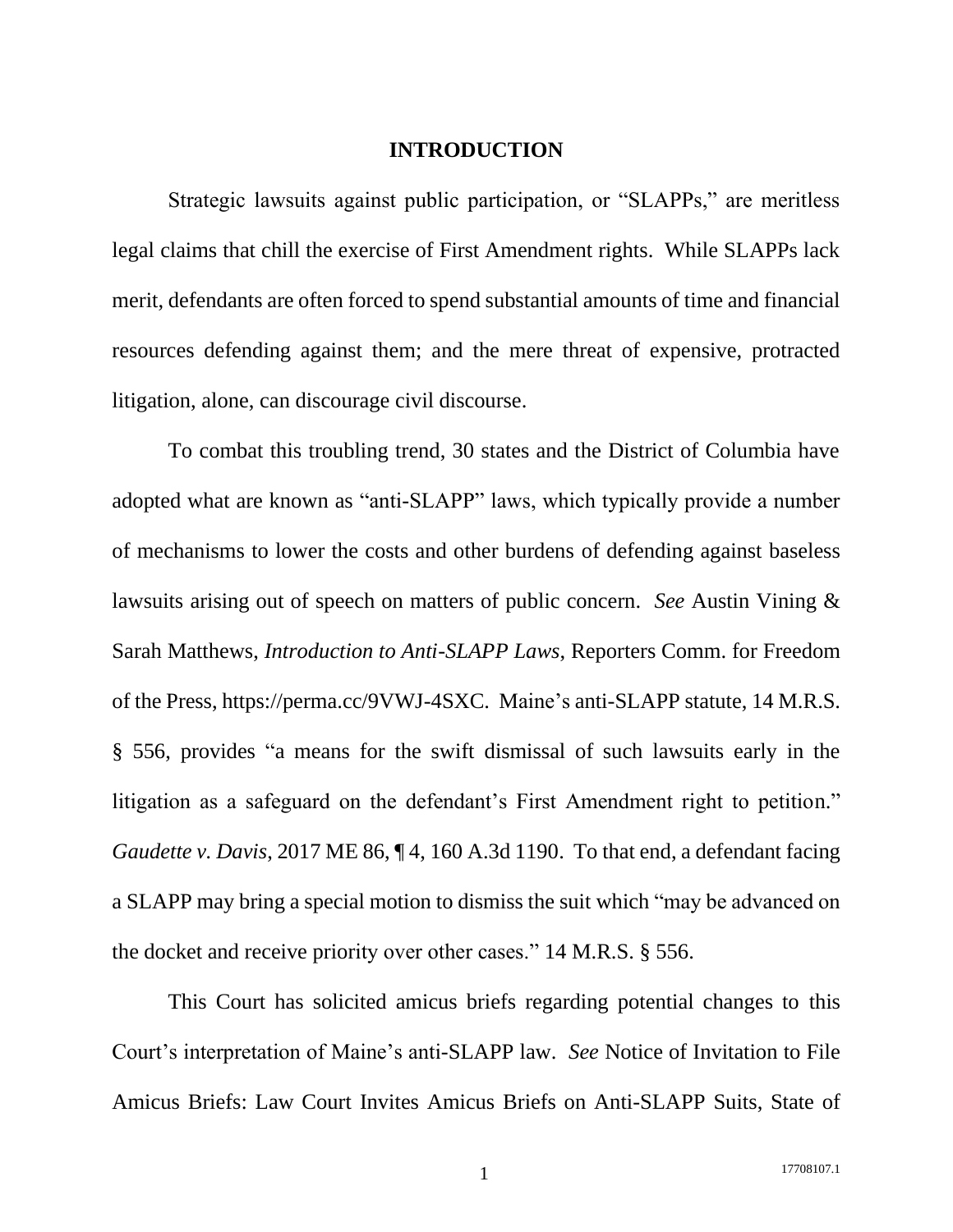#### **INTRODUCTION**

<span id="page-6-0"></span>Strategic lawsuits against public participation, or "SLAPPs," are meritless legal claims that chill the exercise of First Amendment rights. While SLAPPs lack merit, defendants are often forced to spend substantial amounts of time and financial resources defending against them; and the mere threat of expensive, protracted litigation, alone, can discourage civil discourse.

To combat this troubling trend, 30 states and the District of Columbia have adopted what are known as "anti-SLAPP" laws, which typically provide a number of mechanisms to lower the costs and other burdens of defending against baseless lawsuits arising out of speech on matters of public concern. *See* Austin Vining & Sarah Matthews, *Introduction to Anti-SLAPP Laws*, Reporters Comm. for Freedom of the Press, https://perma.cc/9VWJ-4SXC. Maine's anti-SLAPP statute, 14 M.R.S. § 556, provides "a means for the swift dismissal of such lawsuits early in the litigation as a safeguard on the defendant's First Amendment right to petition." *Gaudette v. Davis*, 2017 ME 86, ¶ 4, 160 A.3d 1190. To that end, a defendant facing a SLAPP may bring a special motion to dismiss the suit which "may be advanced on the docket and receive priority over other cases." 14 M.R.S. § 556.

This Court has solicited amicus briefs regarding potential changes to this Court's interpretation of Maine's anti-SLAPP law. *See* Notice of Invitation to File Amicus Briefs: Law Court Invites Amicus Briefs on Anti-SLAPP Suits, State of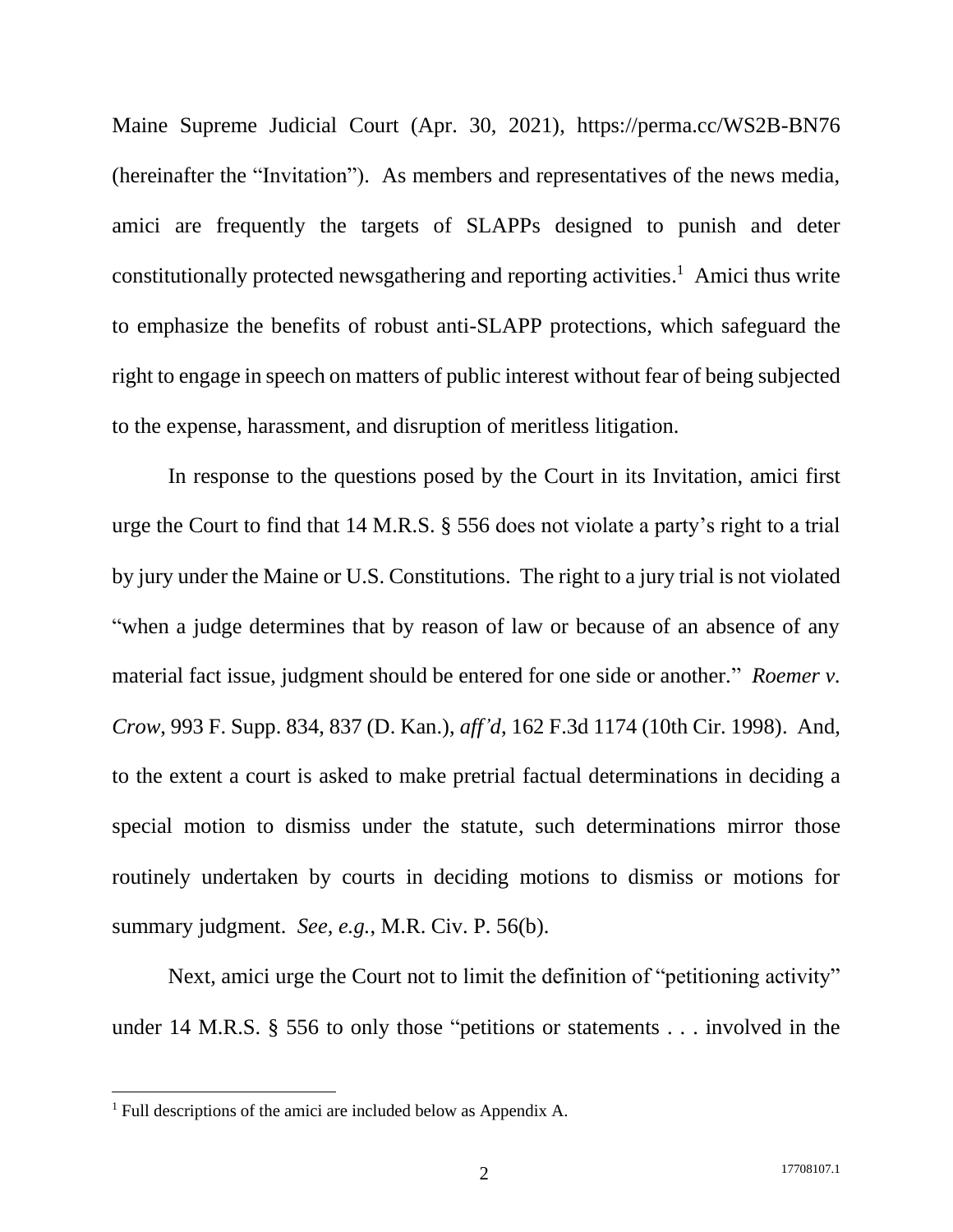Maine Supreme Judicial Court (Apr. 30, 2021), https://perma.cc/WS2B-BN76 (hereinafter the "Invitation"). As members and representatives of the news media, amici are frequently the targets of SLAPPs designed to punish and deter constitutionally protected newsgathering and reporting activities. <sup>1</sup> Amici thus write to emphasize the benefits of robust anti-SLAPP protections, which safeguard the right to engage in speech on matters of public interest without fear of being subjected to the expense, harassment, and disruption of meritless litigation.

In response to the questions posed by the Court in its Invitation, amici first urge the Court to find that 14 M.R.S. § 556 does not violate a party's right to a trial by jury under the Maine or U.S. Constitutions. The right to a jury trial is not violated "when a judge determines that by reason of law or because of an absence of any material fact issue, judgment should be entered for one side or another." *Roemer v. Crow*, 993 F. Supp. 834, 837 (D. Kan.), *aff'd*, 162 F.3d 1174 (10th Cir. 1998). And, to the extent a court is asked to make pretrial factual determinations in deciding a special motion to dismiss under the statute, such determinations mirror those routinely undertaken by courts in deciding motions to dismiss or motions for summary judgment. *See, e.g.*, M.R. Civ. P. 56(b).

Next, amici urge the Court not to limit the definition of "petitioning activity" under 14 M.R.S. § 556 to only those "petitions or statements . . . involved in the

<sup>1</sup> Full descriptions of the amici are included below as Appendix A.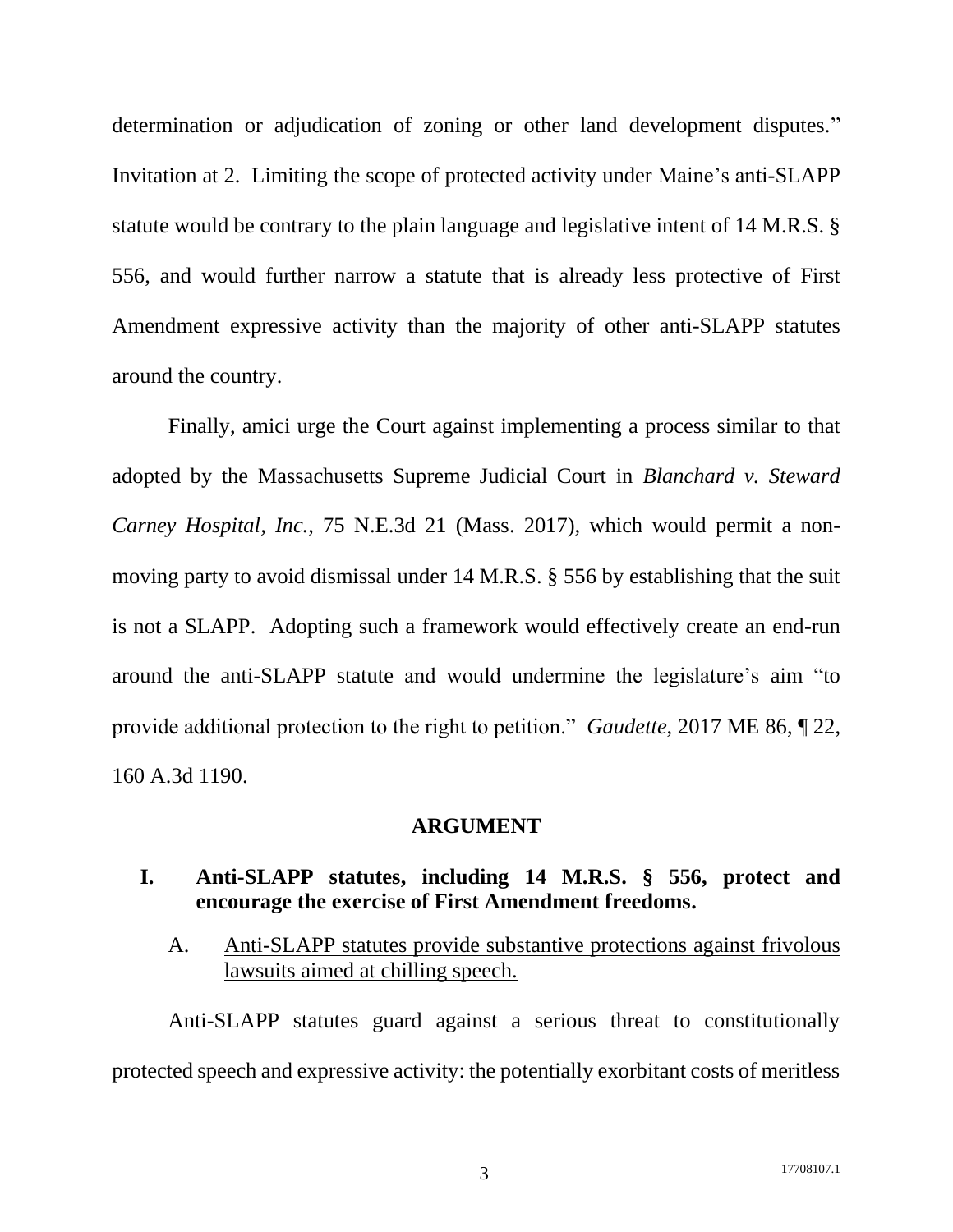determination or adjudication of zoning or other land development disputes." Invitation at 2. Limiting the scope of protected activity under Maine's anti-SLAPP statute would be contrary to the plain language and legislative intent of 14 M.R.S. § 556, and would further narrow a statute that is already less protective of First Amendment expressive activity than the majority of other anti-SLAPP statutes around the country.

Finally, amici urge the Court against implementing a process similar to that adopted by the Massachusetts Supreme Judicial Court in *Blanchard v. Steward Carney Hospital, Inc.*, 75 N.E.3d 21 (Mass. 2017), which would permit a nonmoving party to avoid dismissal under 14 M.R.S. § 556 by establishing that the suit is not a SLAPP. Adopting such a framework would effectively create an end-run around the anti-SLAPP statute and would undermine the legislature's aim "to provide additional protection to the right to petition." *Gaudette*, 2017 ME 86, ¶ 22, 160 A.3d 1190.

#### **ARGUMENT**

### <span id="page-8-1"></span><span id="page-8-0"></span>**I. Anti-SLAPP statutes, including 14 M.R.S. § 556, protect and encourage the exercise of First Amendment freedoms.**

<span id="page-8-2"></span>A. Anti-SLAPP statutes provide substantive protections against frivolous lawsuits aimed at chilling speech.

Anti-SLAPP statutes guard against a serious threat to constitutionally protected speech and expressive activity: the potentially exorbitant costs of meritless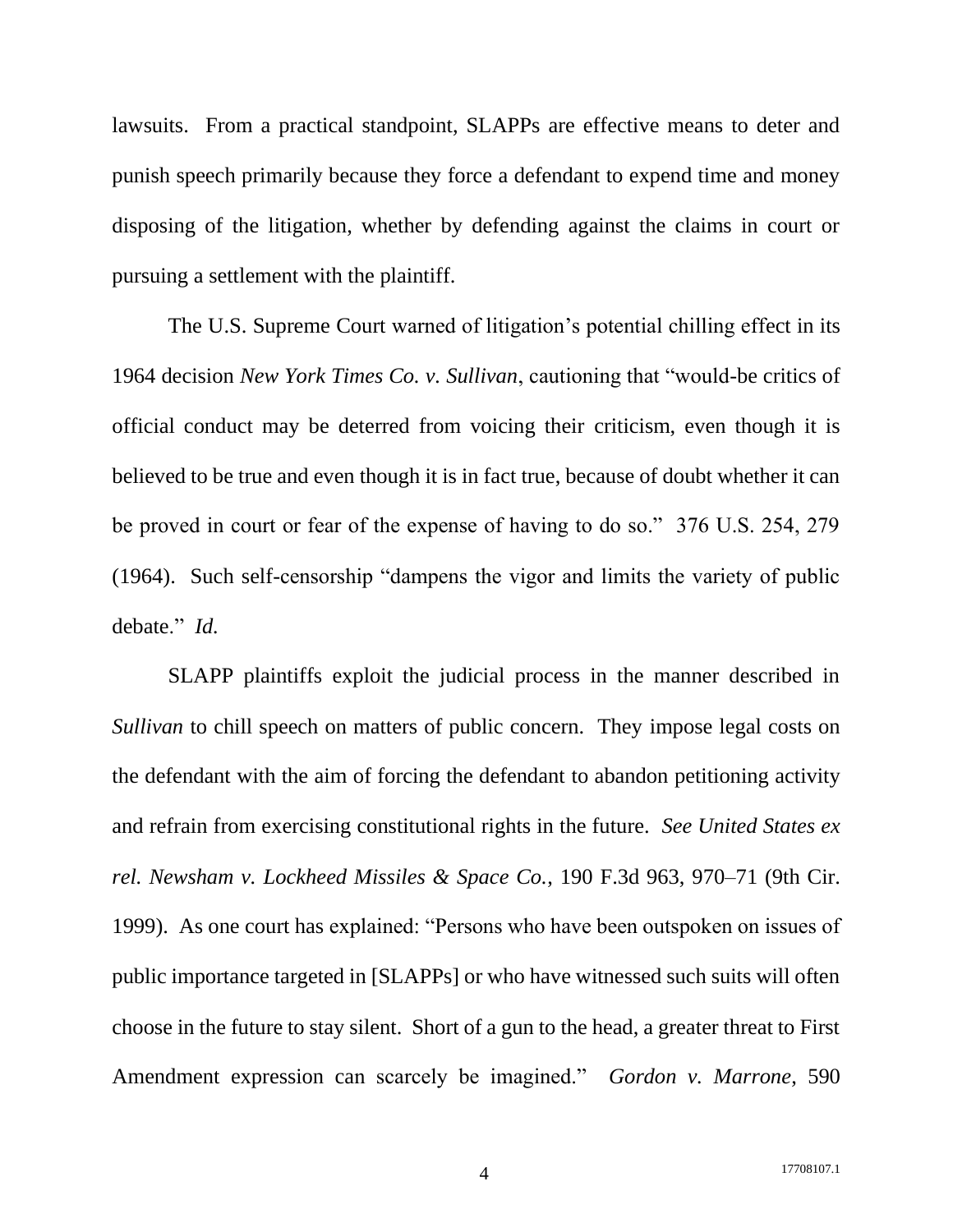lawsuits. From a practical standpoint, SLAPPs are effective means to deter and punish speech primarily because they force a defendant to expend time and money disposing of the litigation, whether by defending against the claims in court or pursuing a settlement with the plaintiff.

The U.S. Supreme Court warned of litigation's potential chilling effect in its 1964 decision *New York Times Co. v. Sullivan*, cautioning that "would-be critics of official conduct may be deterred from voicing their criticism, even though it is believed to be true and even though it is in fact true, because of doubt whether it can be proved in court or fear of the expense of having to do so." 376 U.S. 254, 279 (1964). Such self-censorship "dampens the vigor and limits the variety of public debate." *Id.*

SLAPP plaintiffs exploit the judicial process in the manner described in *Sullivan* to chill speech on matters of public concern. They impose legal costs on the defendant with the aim of forcing the defendant to abandon petitioning activity and refrain from exercising constitutional rights in the future. *See United States ex rel. Newsham v. Lockheed Missiles & Space Co.*, 190 F.3d 963, 970–71 (9th Cir. 1999). As one court has explained: "Persons who have been outspoken on issues of public importance targeted in [SLAPPs] or who have witnessed such suits will often choose in the future to stay silent. Short of a gun to the head, a greater threat to First Amendment expression can scarcely be imagined." *Gordon v. Marrone*, 590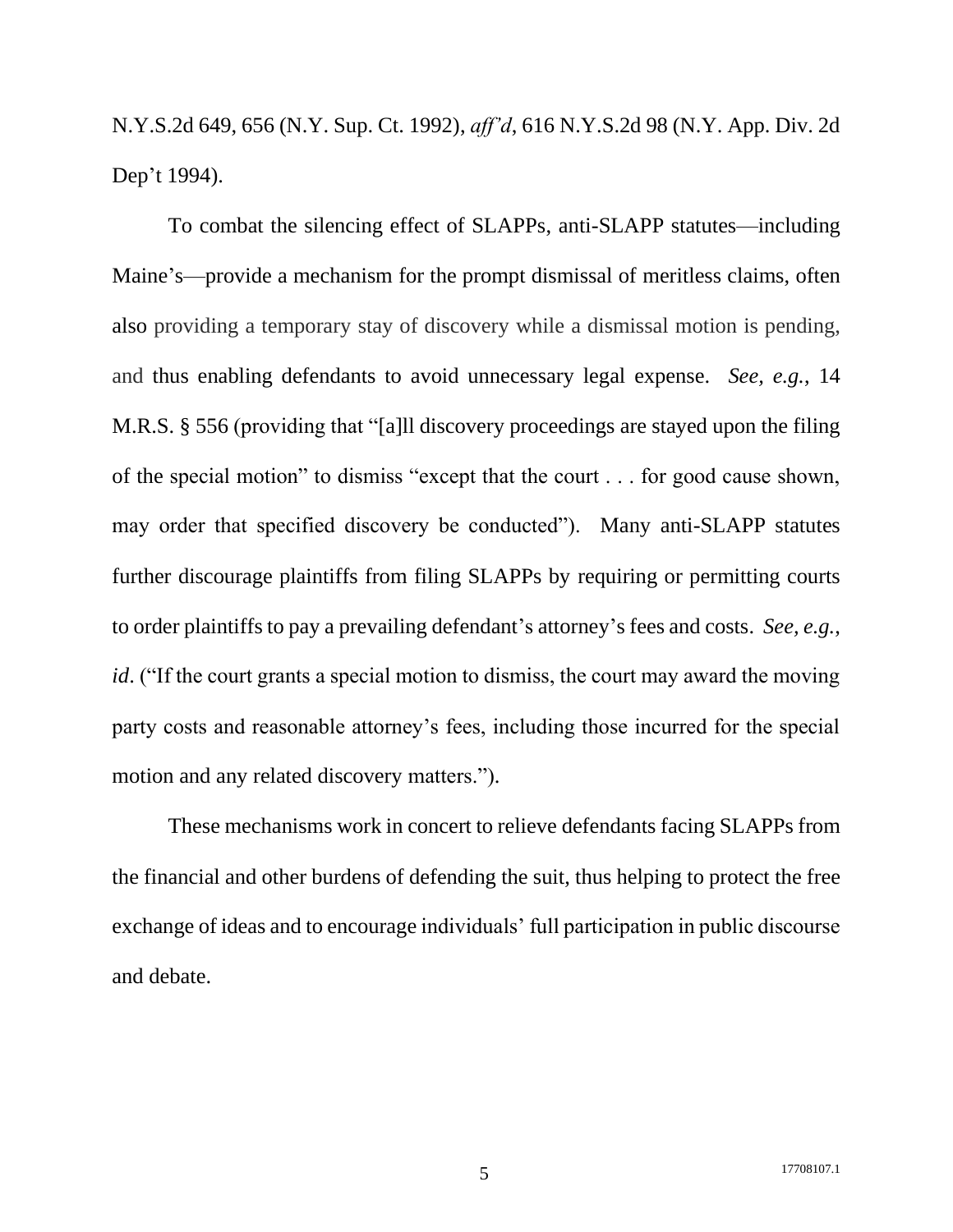N.Y.S.2d 649, 656 (N.Y. Sup. Ct. 1992), *aff'd*, 616 N.Y.S.2d 98 (N.Y. App. Div. 2d Dep't 1994).

To combat the silencing effect of SLAPPs, anti-SLAPP statutes—including Maine's—provide a mechanism for the prompt dismissal of meritless claims, often also providing a temporary stay of discovery while a dismissal motion is pending, and thus enabling defendants to avoid unnecessary legal expense. *See, e.g.*, 14 M.R.S. § 556 (providing that "[a]ll discovery proceedings are stayed upon the filing of the special motion" to dismiss "except that the court . . . for good cause shown, may order that specified discovery be conducted"). Many anti-SLAPP statutes further discourage plaintiffs from filing SLAPPs by requiring or permitting courts to order plaintiffs to pay a prevailing defendant's attorney's fees and costs. *See, e.g.*, *id.* ("If the court grants a special motion to dismiss, the court may award the moving party costs and reasonable attorney's fees, including those incurred for the special motion and any related discovery matters.").

These mechanisms work in concert to relieve defendants facing SLAPPs from the financial and other burdens of defending the suit, thus helping to protect the free exchange of ideas and to encourage individuals' full participation in public discourse and debate.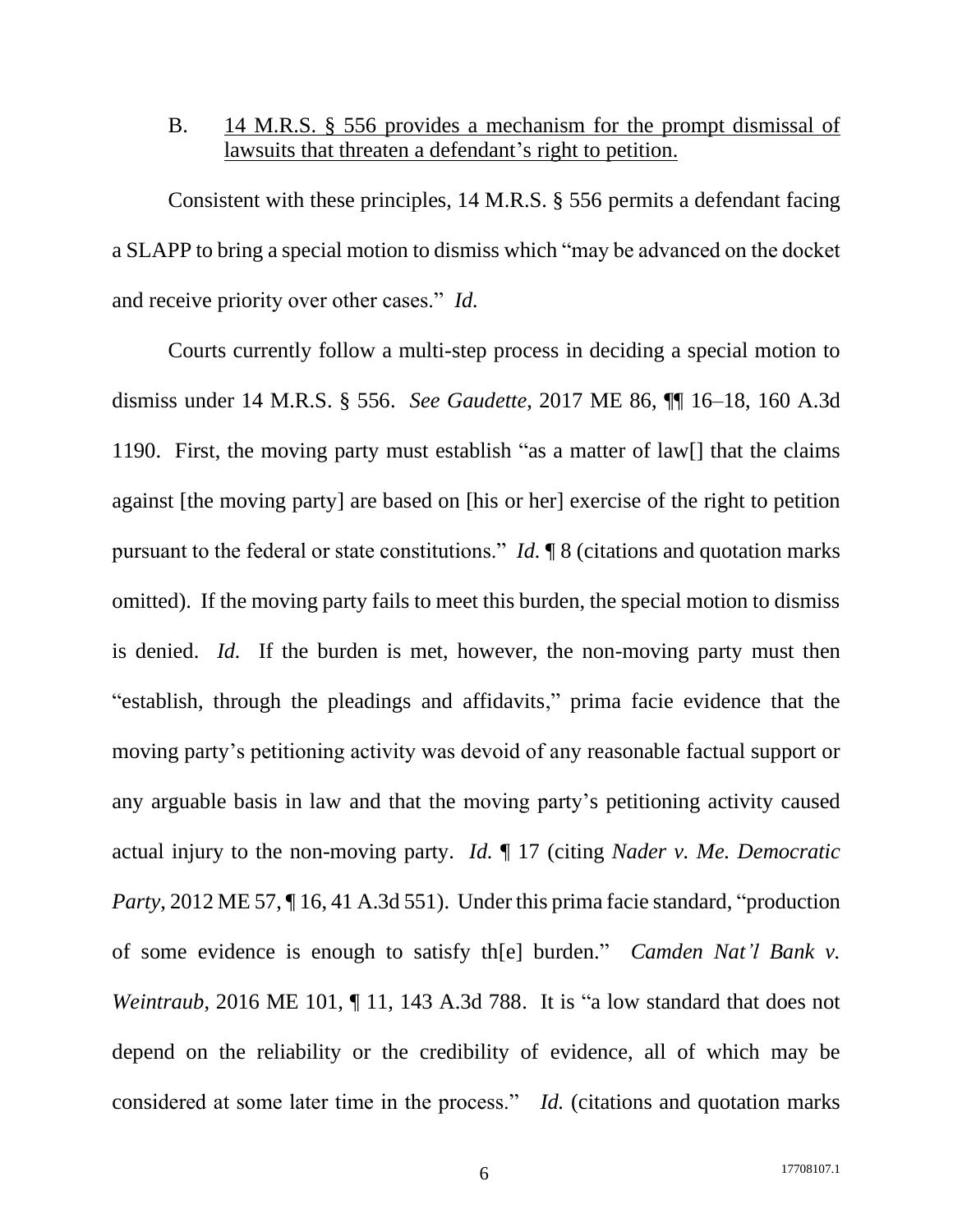## <span id="page-11-0"></span>B. 14 M.R.S. § 556 provides a mechanism for the prompt dismissal of lawsuits that threaten a defendant's right to petition.

Consistent with these principles, 14 M.R.S. § 556 permits a defendant facing a SLAPP to bring a special motion to dismiss which "may be advanced on the docket and receive priority over other cases." *Id.*

Courts currently follow a multi-step process in deciding a special motion to dismiss under 14 M.R.S. § 556. *See Gaudette*, 2017 ME 86, ¶¶ 16–18, 160 A.3d 1190. First, the moving party must establish "as a matter of law[] that the claims against [the moving party] are based on [his or her] exercise of the right to petition pursuant to the federal or state constitutions." *Id.* ¶ 8 (citations and quotation marks omitted). If the moving party fails to meet this burden, the special motion to dismiss is denied. *Id.* If the burden is met, however, the non-moving party must then "establish, through the pleadings and affidavits," prima facie evidence that the moving party's petitioning activity was devoid of any reasonable factual support or any arguable basis in law and that the moving party's petitioning activity caused actual injury to the non-moving party. *Id.* ¶ 17 (citing *Nader v. Me. Democratic Party*, 2012 ME 57, ¶16, 41 A.3d 551). Under this prima facie standard, "production of some evidence is enough to satisfy th[e] burden." *Camden Nat'l Bank v. Weintraub*, 2016 ME 101, 11, 143 A.3d 788. It is "a low standard that does not depend on the reliability or the credibility of evidence, all of which may be considered at some later time in the process." *Id.* (citations and quotation marks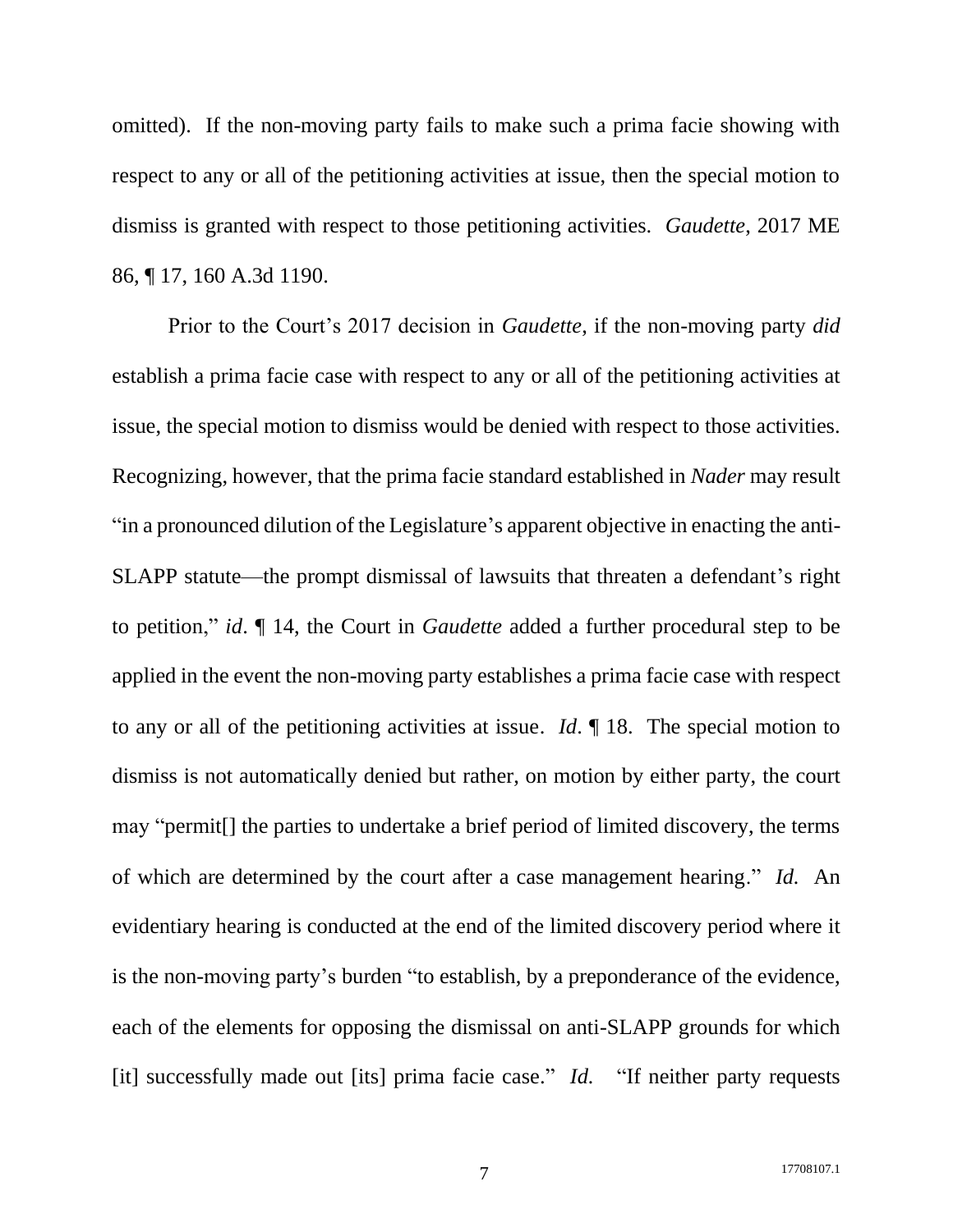omitted).If the non-moving party fails to make such a prima facie showing with respect to any or all of the petitioning activities at issue, then the special motion to dismiss is granted with respect to those petitioning activities. *Gaudette*, 2017 ME 86, ¶ 17, 160 A.3d 1190.

Prior to the Court's 2017 decision in *Gaudette*, if the non-moving party *did* establish a prima facie case with respect to any or all of the petitioning activities at issue, the special motion to dismiss would be denied with respect to those activities. Recognizing, however, that the prima facie standard established in *Nader* may result "in a pronounced dilution of the Legislature's apparent objective in enacting the anti-SLAPP statute—the prompt dismissal of lawsuits that threaten a defendant's right to petition," *id*. ¶ 14, the Court in *Gaudette* added a further procedural step to be applied in the event the non-moving party establishes a prima facie case with respect to any or all of the petitioning activities at issue. *Id*. ¶ 18. The special motion to dismiss is not automatically denied but rather, on motion by either party, the court may "permit[] the parties to undertake a brief period of limited discovery, the terms of which are determined by the court after a case management hearing." *Id.* An evidentiary hearing is conducted at the end of the limited discovery period where it is the non-moving party's burden "to establish, by a preponderance of the evidence, each of the elements for opposing the dismissal on anti-SLAPP grounds for which [it] successfully made out [its] prima facie case." *Id.* "If neither party requests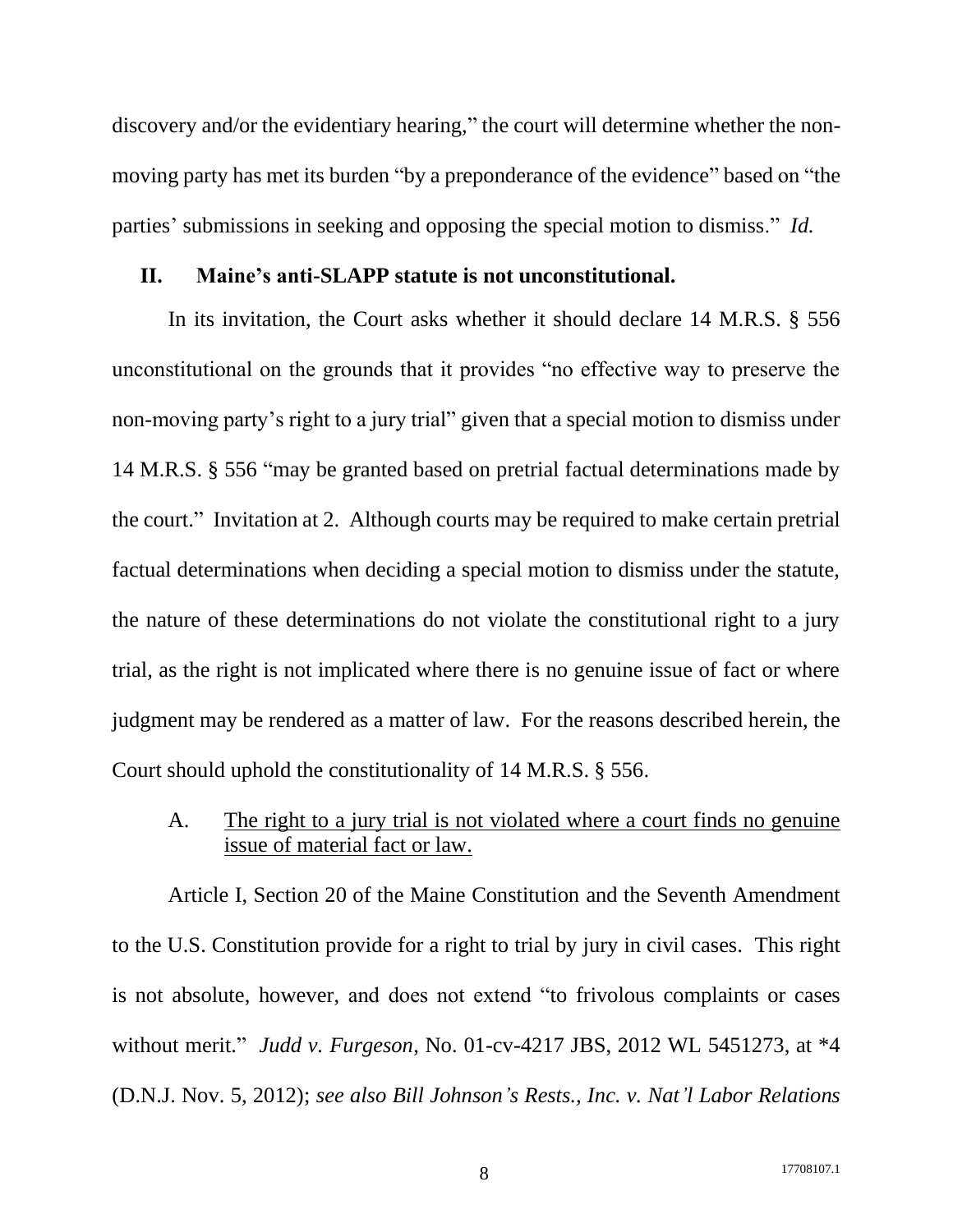discovery and/or the evidentiary hearing," the court will determine whether the nonmoving party has met its burden "by a preponderance of the evidence" based on "the parties' submissions in seeking and opposing the special motion to dismiss." *Id.*

#### <span id="page-13-0"></span>**II. Maine's anti-SLAPP statute is not unconstitutional.**

In its invitation, the Court asks whether it should declare 14 M.R.S. § 556 unconstitutional on the grounds that it provides "no effective way to preserve the non-moving party's right to a jury trial" given that a special motion to dismiss under 14 M.R.S. § 556 "may be granted based on pretrial factual determinations made by the court." Invitation at 2. Although courts may be required to make certain pretrial factual determinations when deciding a special motion to dismiss under the statute, the nature of these determinations do not violate the constitutional right to a jury trial, as the right is not implicated where there is no genuine issue of fact or where judgment may be rendered as a matter of law. For the reasons described herein, the Court should uphold the constitutionality of 14 M.R.S. § 556.

#### <span id="page-13-1"></span>A. The right to a jury trial is not violated where a court finds no genuine issue of material fact or law.

Article I, Section 20 of the Maine Constitution and the Seventh Amendment to the U.S. Constitution provide for a right to trial by jury in civil cases. This right is not absolute, however, and does not extend "to frivolous complaints or cases without merit." *Judd v. Furgeson*, No. 01-cv-4217 JBS, 2012 WL 5451273, at \*4 (D.N.J. Nov. 5, 2012); *see also Bill Johnson's Rests., Inc. v. Nat'l Labor Relations*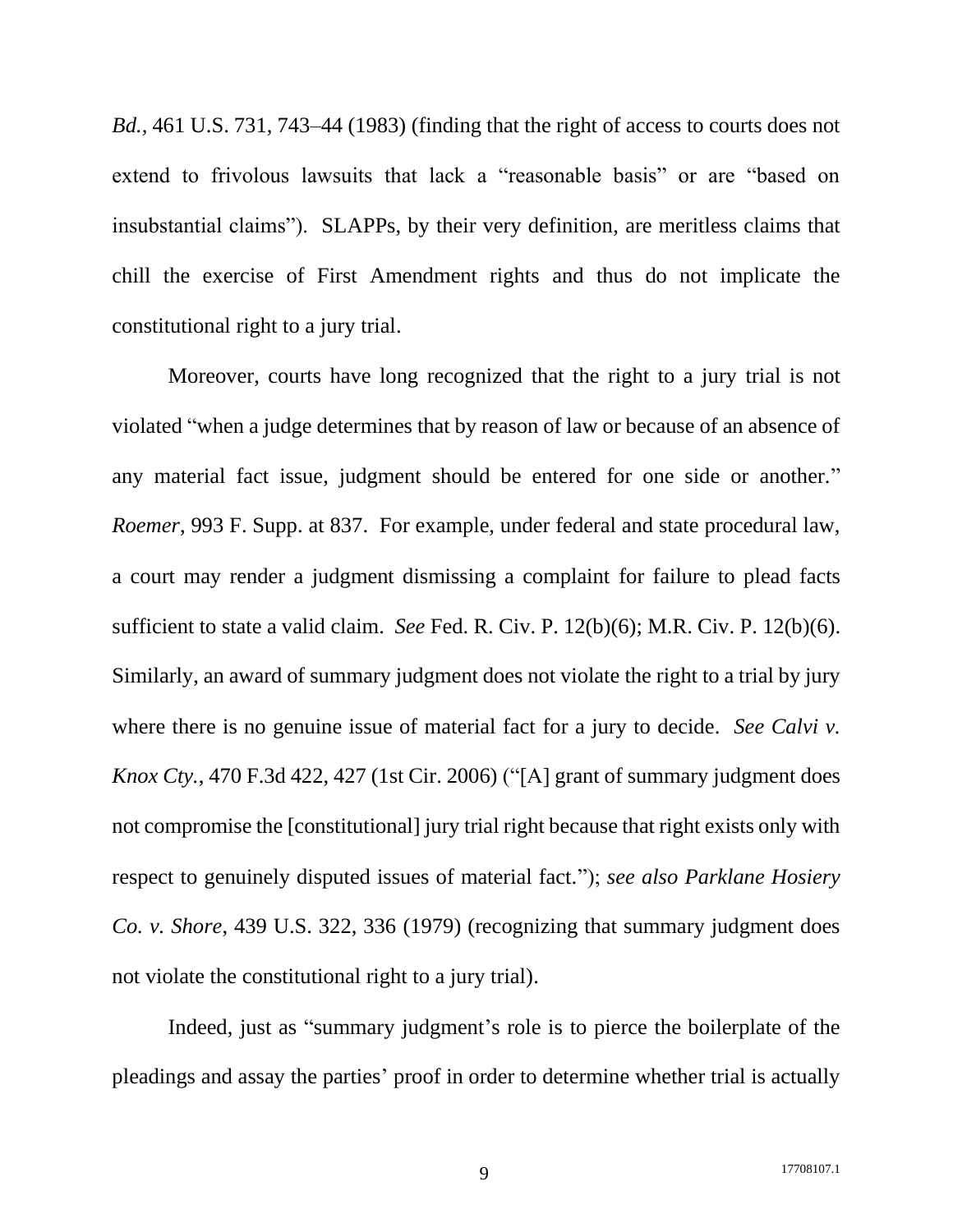*Bd.*, 461 U.S. 731, 743–44 (1983) (finding that the right of access to courts does not extend to frivolous lawsuits that lack a "reasonable basis" or are "based on insubstantial claims"). SLAPPs, by their very definition, are meritless claims that chill the exercise of First Amendment rights and thus do not implicate the constitutional right to a jury trial.

Moreover, courts have long recognized that the right to a jury trial is not violated "when a judge determines that by reason of law or because of an absence of any material fact issue, judgment should be entered for one side or another." *Roemer*, 993 F. Supp. at 837. For example, under federal and state procedural law, a court may render a judgment dismissing a complaint for failure to plead facts sufficient to state a valid claim. *See* Fed. R. Civ. P. 12(b)(6); M.R. Civ. P. 12(b)(6). Similarly, an award of summary judgment does not violate the right to a trial by jury where there is no genuine issue of material fact for a jury to decide. *See Calvi v. Knox Cty.*, 470 F.3d 422, 427 (1st Cir. 2006) ("[A] grant of summary judgment does not compromise the [constitutional] jury trial right because that right exists only with respect to genuinely disputed issues of material fact."); *see also Parklane Hosiery Co. v. Shore*, 439 U.S. 322, 336 (1979) (recognizing that summary judgment does not violate the constitutional right to a jury trial).

Indeed, just as "summary judgment's role is to pierce the boilerplate of the pleadings and assay the parties' proof in order to determine whether trial is actually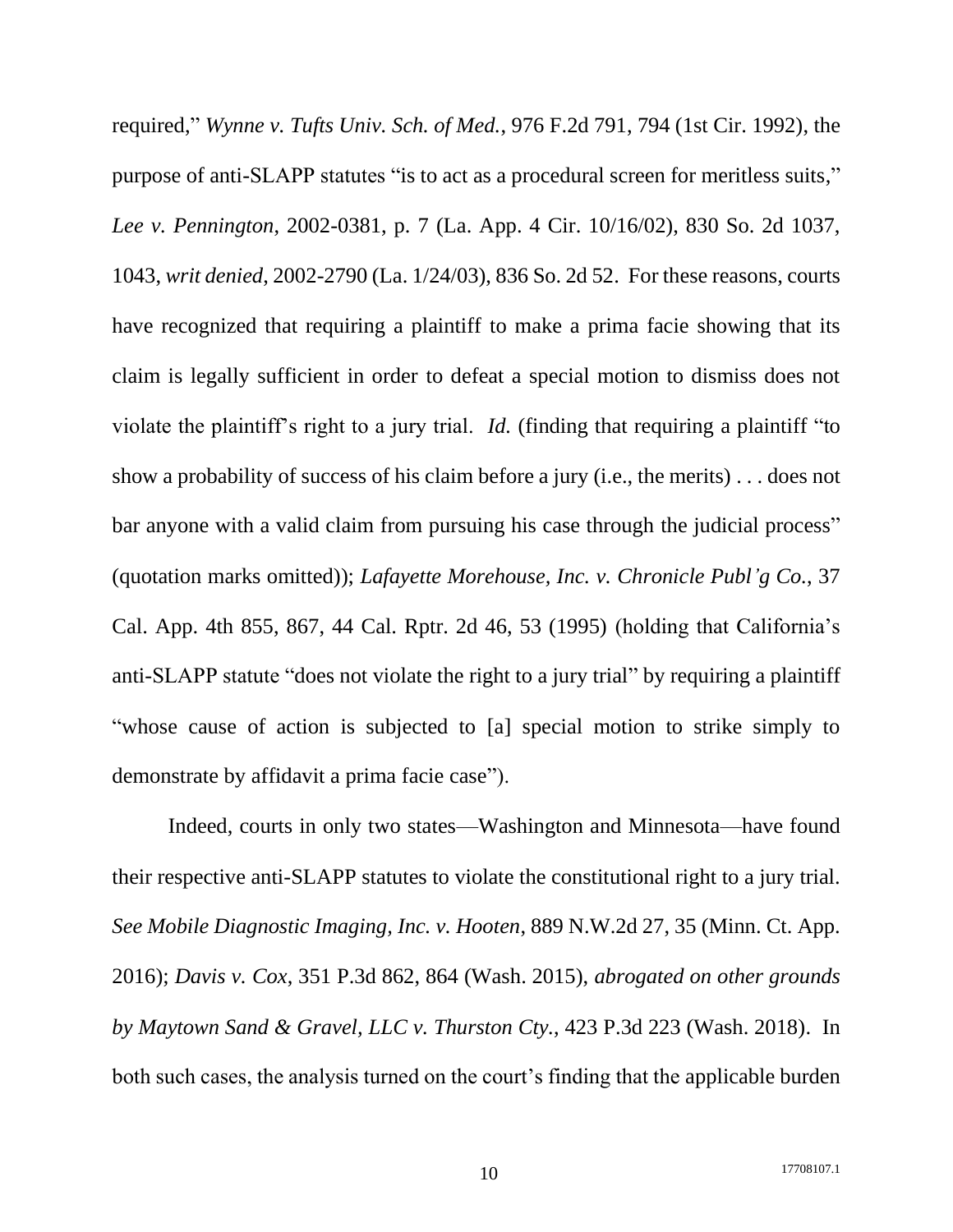required," *Wynne v. Tufts Univ. Sch. of Med.*, 976 F.2d 791, 794 (1st Cir. 1992), the purpose of anti-SLAPP statutes "is to act as a procedural screen for meritless suits," *Lee v. Pennington*, 2002-0381, p. 7 (La. App. 4 Cir. 10/16/02), 830 So. 2d 1037, 1043, *writ denied*, 2002-2790 (La. 1/24/03), 836 So. 2d 52. For these reasons, courts have recognized that requiring a plaintiff to make a prima facie showing that its claim is legally sufficient in order to defeat a special motion to dismiss does not violate the plaintiff's right to a jury trial. *Id.* (finding that requiring a plaintiff "to show a probability of success of his claim before a jury (i.e., the merits) . . . does not bar anyone with a valid claim from pursuing his case through the judicial process" (quotation marks omitted)); *Lafayette Morehouse, Inc. v. Chronicle Publ'g Co.*, 37 Cal. App. 4th 855, 867, 44 Cal. Rptr. 2d 46, 53 (1995) (holding that California's anti-SLAPP statute "does not violate the right to a jury trial" by requiring a plaintiff "whose cause of action is subjected to [a] special motion to strike simply to demonstrate by affidavit a prima facie case").

Indeed, courts in only two states—Washington and Minnesota—have found their respective anti-SLAPP statutes to violate the constitutional right to a jury trial. *See Mobile Diagnostic Imaging, Inc. v. Hooten*, 889 N.W.2d 27, 35 (Minn. Ct. App. 2016); *Davis v. Cox*, 351 P.3d 862, 864 (Wash. 2015), *abrogated on other grounds by Maytown Sand & Gravel, LLC v. Thurston Cty.*, 423 P.3d 223 (Wash. 2018). In both such cases, the analysis turned on the court's finding that the applicable burden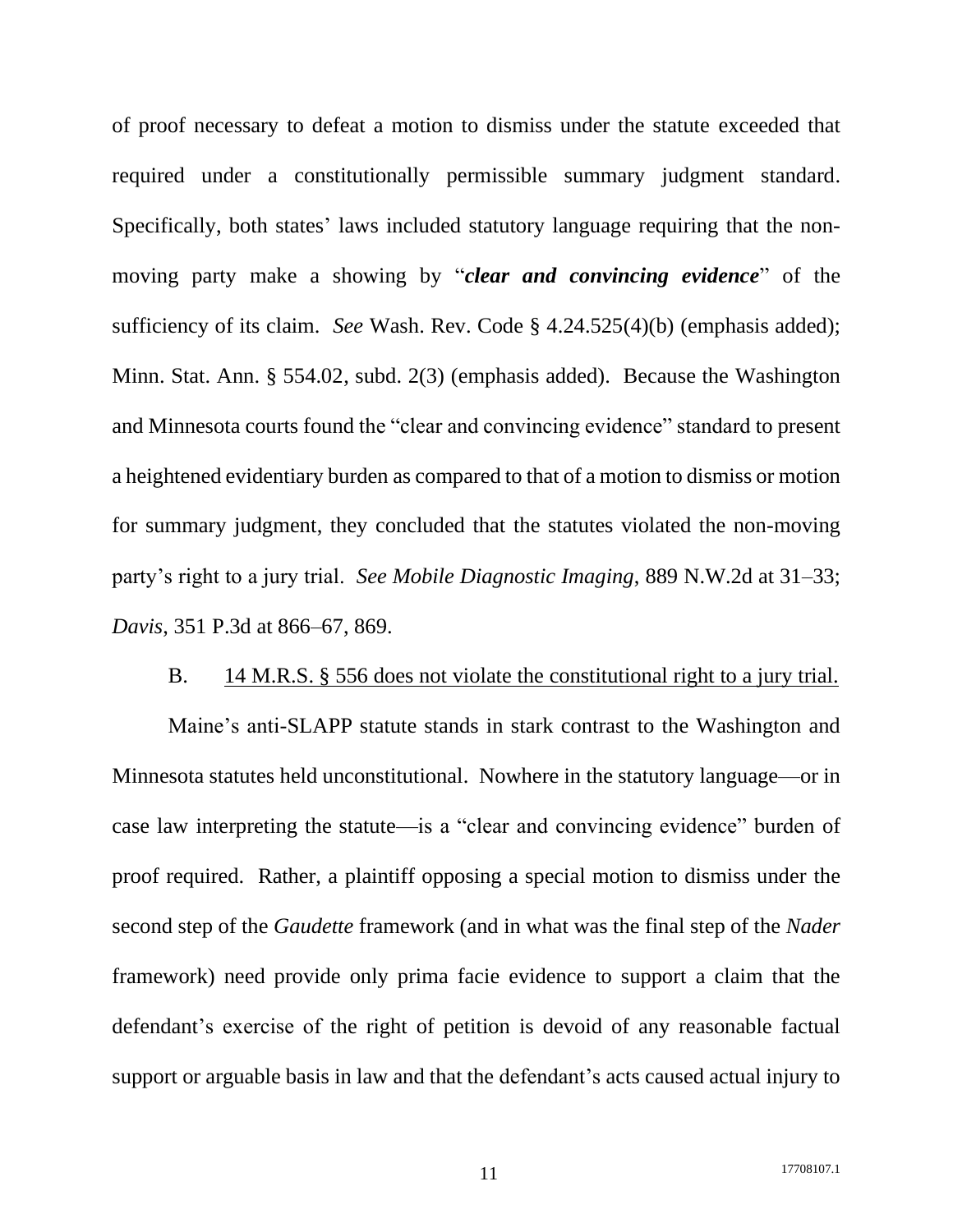of proof necessary to defeat a motion to dismiss under the statute exceeded that required under a constitutionally permissible summary judgment standard. Specifically, both states' laws included statutory language requiring that the nonmoving party make a showing by "*clear and convincing evidence*" of the sufficiency of its claim. *See* Wash. Rev. Code § 4.24.525(4)(b) (emphasis added); Minn. Stat. Ann. § 554.02, subd. 2(3) (emphasis added). Because the Washington and Minnesota courts found the "clear and convincing evidence" standard to present a heightened evidentiary burden as compared to that of a motion to dismiss or motion for summary judgment, they concluded that the statutes violated the non-moving party's right to a jury trial. *See Mobile Diagnostic Imaging*, 889 N.W.2d at 31–33; *Davis*, 351 P.3d at 866–67, 869.

#### B. 14 M.R.S. § 556 does not violate the constitutional right to a jury trial.

<span id="page-16-0"></span>Maine's anti-SLAPP statute stands in stark contrast to the Washington and Minnesota statutes held unconstitutional. Nowhere in the statutory language—or in case law interpreting the statute—is a "clear and convincing evidence" burden of proof required. Rather, a plaintiff opposing a special motion to dismiss under the second step of the *Gaudette* framework (and in what was the final step of the *Nader* framework) need provide only prima facie evidence to support a claim that the defendant's exercise of the right of petition is devoid of any reasonable factual support or arguable basis in law and that the defendant's acts caused actual injury to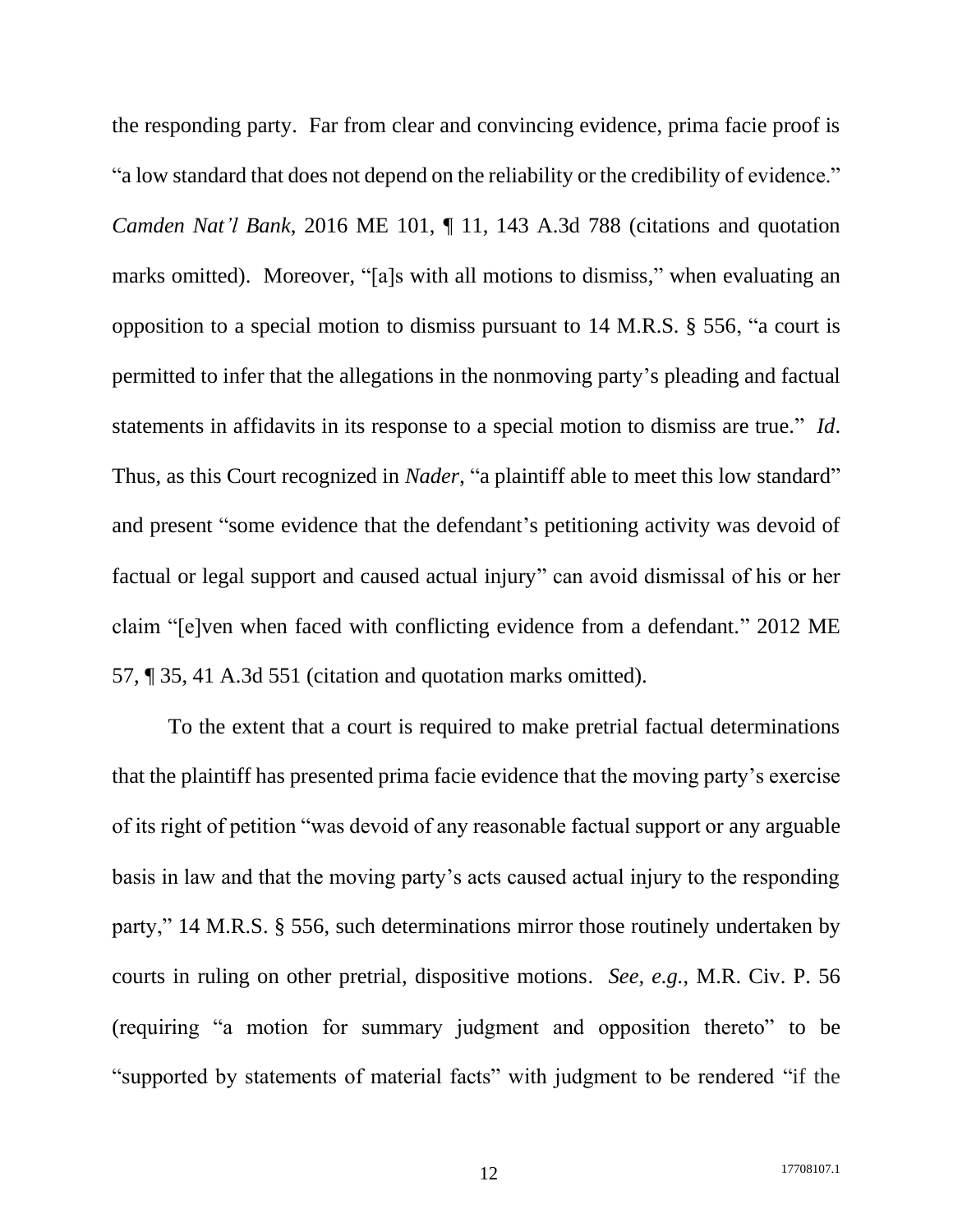the responding party. Far from clear and convincing evidence, prima facie proof is "a low standard that does not depend on the reliability or the credibility of evidence." *Camden Nat'l Bank*, 2016 ME 101, ¶ 11, 143 A.3d 788 (citations and quotation marks omitted). Moreover, "[a]s with all motions to dismiss," when evaluating an opposition to a special motion to dismiss pursuant to 14 M.R.S. § 556, "a court is permitted to infer that the allegations in the nonmoving party's pleading and factual statements in affidavits in its response to a special motion to dismiss are true." *Id*. Thus, as this Court recognized in *Nader*, "a plaintiff able to meet this low standard" and present "some evidence that the defendant's petitioning activity was devoid of factual or legal support and caused actual injury" can avoid dismissal of his or her claim "[e]ven when faced with conflicting evidence from a defendant." 2012 ME 57, ¶ 35, 41 A.3d 551 (citation and quotation marks omitted).

To the extent that a court is required to make pretrial factual determinations that the plaintiff has presented prima facie evidence that the moving party's exercise of its right of petition "was devoid of any reasonable factual support or any arguable basis in law and that the moving party's acts caused actual injury to the responding party," 14 M.R.S. § 556, such determinations mirror those routinely undertaken by courts in ruling on other pretrial, dispositive motions. *See, e.g.*, M.R. Civ. P. 56 (requiring "a motion for summary judgment and opposition thereto" to be "supported by statements of material facts" with judgment to be rendered "if the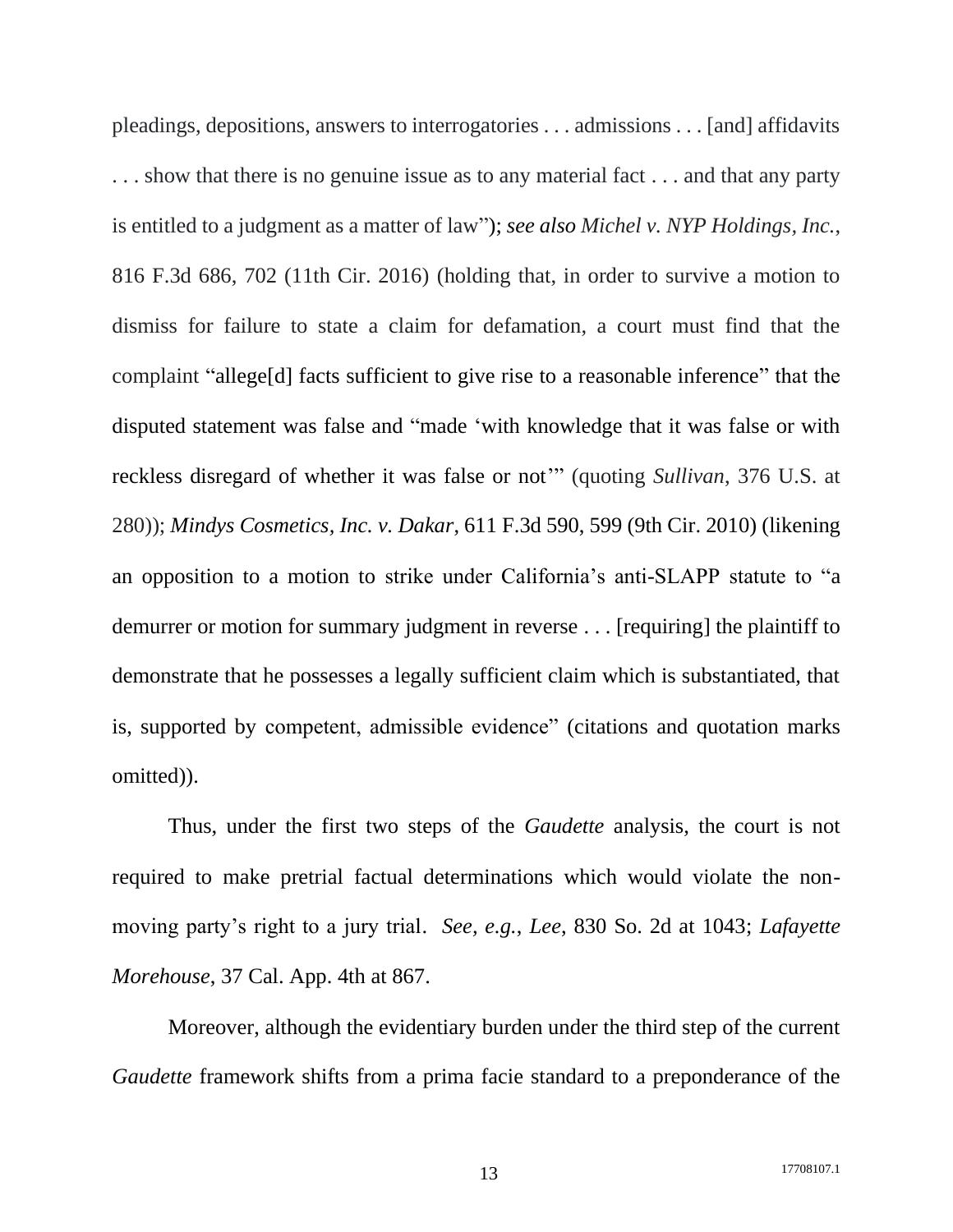pleadings, depositions, answers to interrogatories . . . admissions . . . [and] affidavits . . . show that there is no genuine issue as to any material fact . . . and that any party is entitled to a judgment as a matter of law"); *see also Michel v. NYP Holdings, Inc.*, 816 F.3d 686, 702 (11th Cir. 2016) (holding that, in order to survive a motion to dismiss for failure to state a claim for defamation, a court must find that the complaint "allege[d] facts sufficient to give rise to a reasonable inference" that the disputed statement was false and "made 'with knowledge that it was false or with reckless disregard of whether it was false or not'" (quoting *Sullivan*, 376 U.S. at 280)); *Mindys Cosmetics, Inc. v. Dakar*, 611 F.3d 590, 599 (9th Cir. 2010) (likening an opposition to a motion to strike under California's anti-SLAPP statute to "a demurrer or motion for summary judgment in reverse . . . [requiring] the plaintiff to demonstrate that he possesses a legally sufficient claim which is substantiated, that is, supported by competent, admissible evidence" (citations and quotation marks omitted)).

Thus, under the first two steps of the *Gaudette* analysis, the court is not required to make pretrial factual determinations which would violate the nonmoving party's right to a jury trial. *See, e.g.*, *Lee*, 830 So. 2d at 1043; *Lafayette Morehouse*, 37 Cal. App. 4th at 867.

Moreover, although the evidentiary burden under the third step of the current *Gaudette* framework shifts from a prima facie standard to a preponderance of the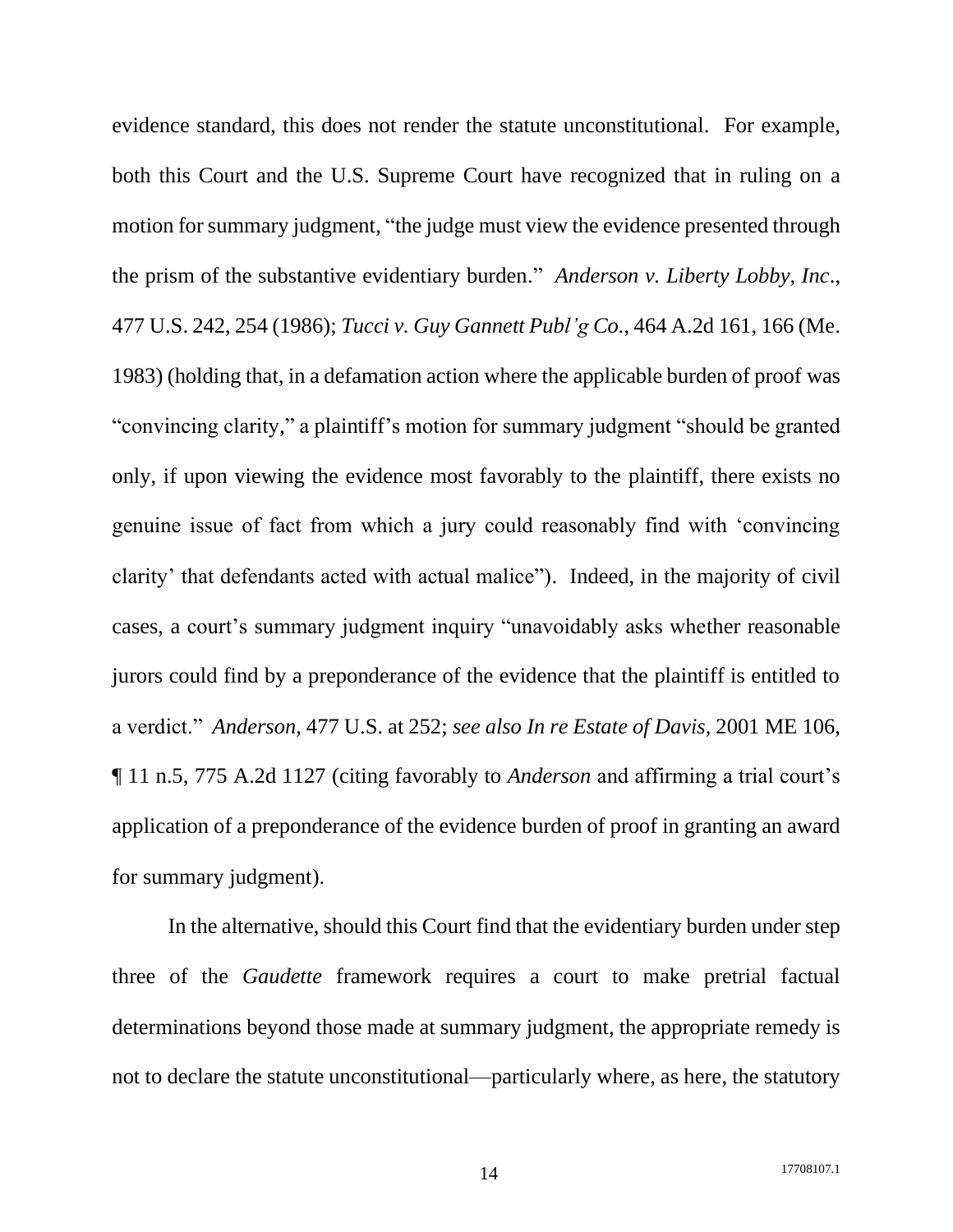evidence standard, this does not render the statute unconstitutional. For example, both this Court and the U.S. Supreme Court have recognized that in ruling on a motion for summary judgment, "the judge must view the evidence presented through the prism of the substantive evidentiary burden." *Anderson v. Liberty Lobby, Inc*., 477 U.S. 242, 254 (1986); *Tucci v. Guy Gannett Publ'g Co.*, 464 A.2d 161, 166 (Me. 1983) (holding that, in a defamation action where the applicable burden of proof was "convincing clarity," a plaintiff's motion for summary judgment "should be granted only, if upon viewing the evidence most favorably to the plaintiff, there exists no genuine issue of fact from which a jury could reasonably find with 'convincing clarity' that defendants acted with actual malice"). Indeed, in the majority of civil cases, a court's summary judgment inquiry "unavoidably asks whether reasonable jurors could find by a preponderance of the evidence that the plaintiff is entitled to a verdict." *Anderson*, 477 U.S. at 252; *see also In re Estate of Davis*, 2001 ME 106, ¶ 11 n.5, 775 A.2d 1127 (citing favorably to *Anderson* and affirming a trial court's application of a preponderance of the evidence burden of proof in granting an award for summary judgment).

In the alternative, should this Court find that the evidentiary burden under step three of the *Gaudette* framework requires a court to make pretrial factual determinations beyond those made at summary judgment, the appropriate remedy is not to declare the statute unconstitutional—particularly where, as here, the statutory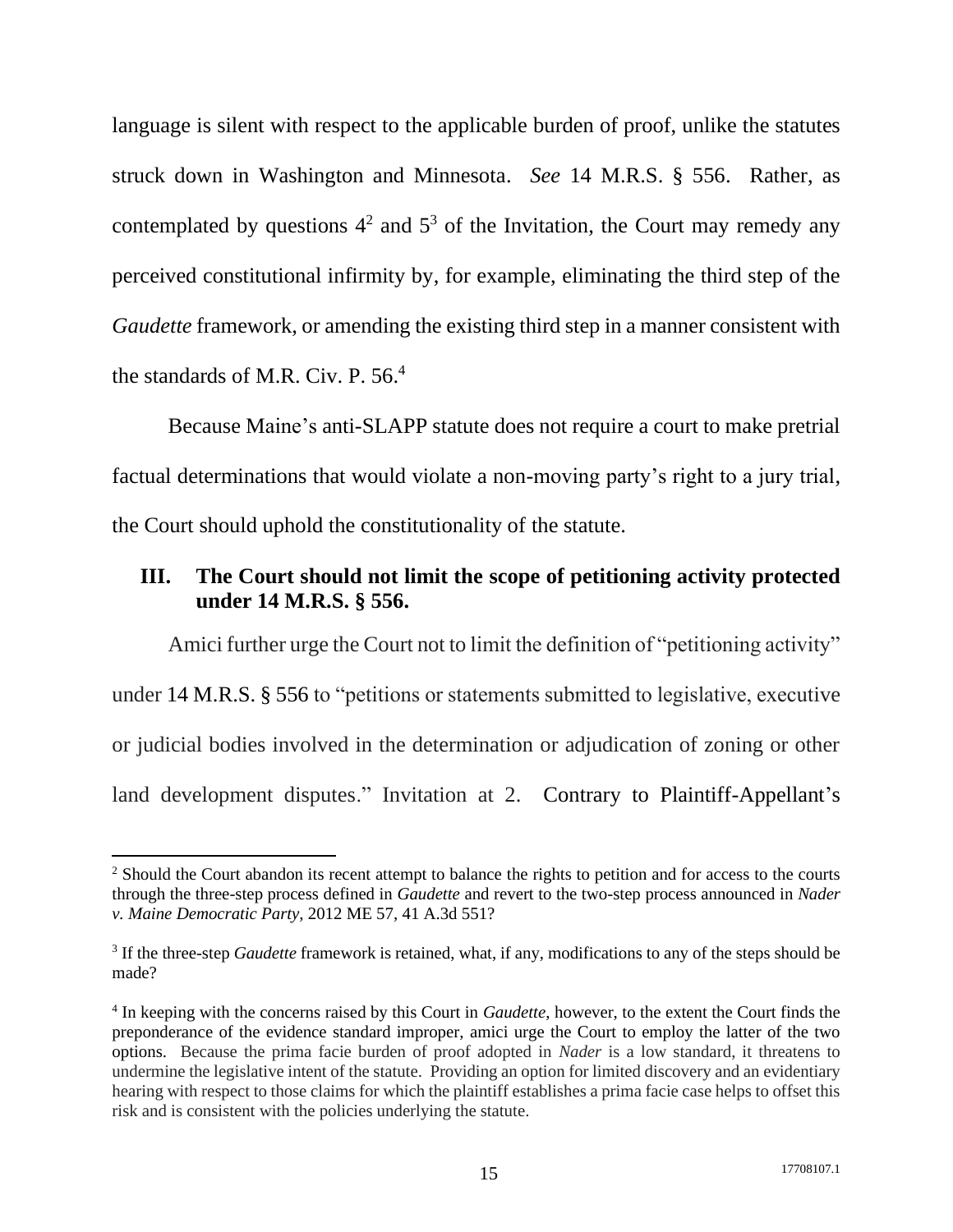language is silent with respect to the applicable burden of proof, unlike the statutes struck down in Washington and Minnesota. *See* 14 M.R.S. § 556. Rather, as contemplated by questions  $4^2$  and  $5^3$  of the Invitation, the Court may remedy any perceived constitutional infirmity by, for example, eliminating the third step of the *Gaudette* framework, or amending the existing third step in a manner consistent with the standards of M.R. Civ. P. 56. 4

Because Maine's anti-SLAPP statute does not require a court to make pretrial factual determinations that would violate a non-moving party's right to a jury trial, the Court should uphold the constitutionality of the statute.

## <span id="page-20-0"></span>**III. The Court should not limit the scope of petitioning activity protected under 14 M.R.S. § 556.**

Amici further urge the Court not to limit the definition of "petitioning activity" under 14 M.R.S. § 556 to "petitions or statements submitted to legislative, executive or judicial bodies involved in the determination or adjudication of zoning or other land development disputes." Invitation at 2. Contrary to Plaintiff-Appellant's

<sup>&</sup>lt;sup>2</sup> Should the Court abandon its recent attempt to balance the rights to petition and for access to the courts through the three-step process defined in *Gaudette* and revert to the two-step process announced in *Nader v. Maine Democratic Party*, 2012 ME 57, 41 A.3d 551?

<sup>&</sup>lt;sup>3</sup> If the three-step *Gaudette* framework is retained, what, if any, modifications to any of the steps should be made?

<sup>4</sup> In keeping with the concerns raised by this Court in *Gaudette*, however, to the extent the Court finds the preponderance of the evidence standard improper, amici urge the Court to employ the latter of the two options. Because the prima facie burden of proof adopted in *Nader* is a low standard, it threatens to undermine the legislative intent of the statute. Providing an option for limited discovery and an evidentiary hearing with respect to those claims for which the plaintiff establishes a prima facie case helps to offset this risk and is consistent with the policies underlying the statute.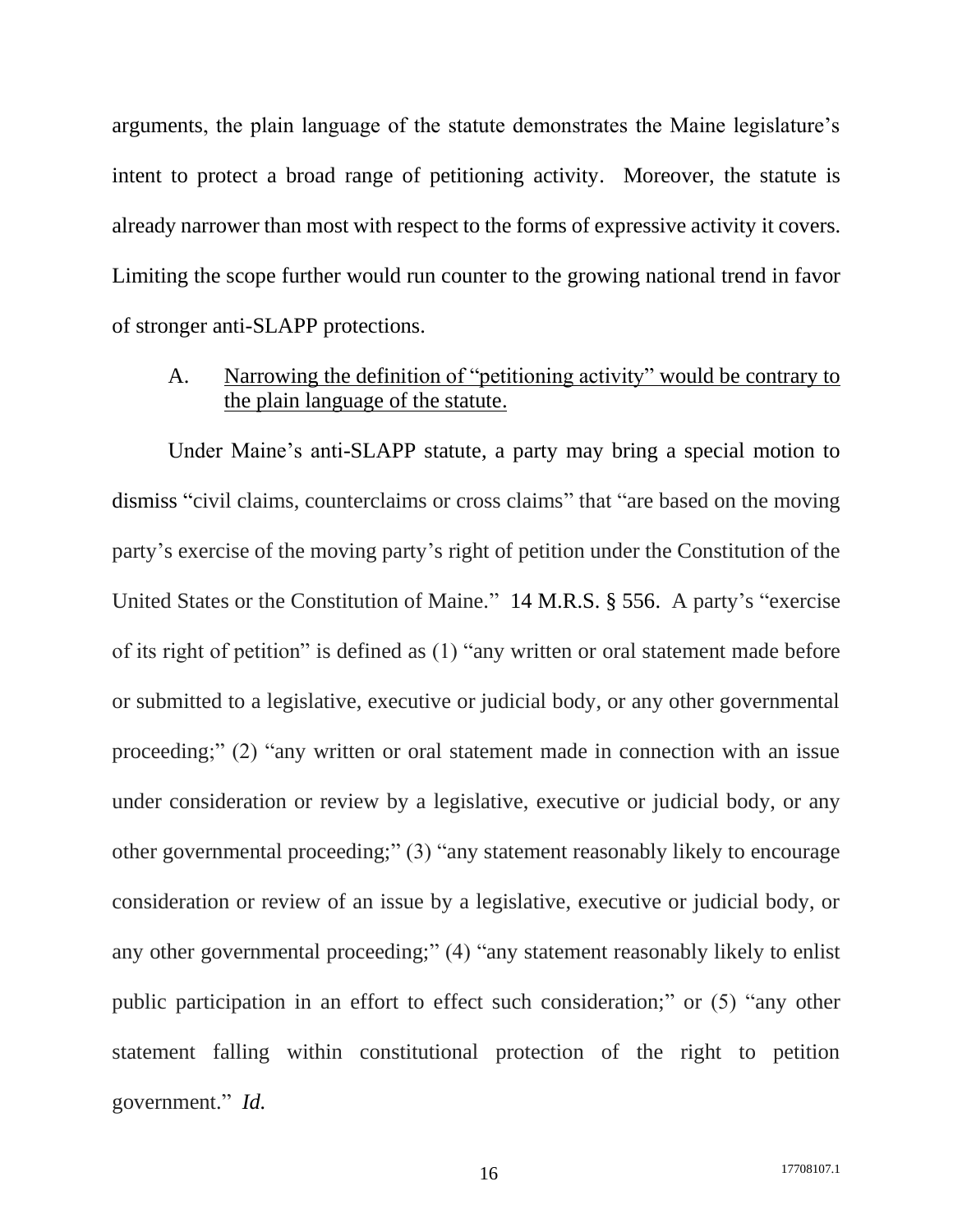arguments, the plain language of the statute demonstrates the Maine legislature's intent to protect a broad range of petitioning activity. Moreover, the statute is already narrower than most with respect to the forms of expressive activity it covers. Limiting the scope further would run counter to the growing national trend in favor of stronger anti-SLAPP protections.

<span id="page-21-0"></span>A. Narrowing the definition of "petitioning activity" would be contrary to the plain language of the statute.

Under Maine's anti-SLAPP statute, a party may bring a special motion to dismiss "civil claims, counterclaims or cross claims" that "are based on the moving party's exercise of the moving party's right of petition under the Constitution of the United States or the Constitution of Maine." 14 M.R.S. § 556. A party's "exercise of its right of petition" is defined as (1) "any written or oral statement made before or submitted to a legislative, executive or judicial body, or any other governmental proceeding;" (2) "any written or oral statement made in connection with an issue under consideration or review by a legislative, executive or judicial body, or any other governmental proceeding;" (3) "any statement reasonably likely to encourage consideration or review of an issue by a legislative, executive or judicial body, or any other governmental proceeding;" (4) "any statement reasonably likely to enlist public participation in an effort to effect such consideration;" or (5) "any other statement falling within constitutional protection of the right to petition government." *Id.*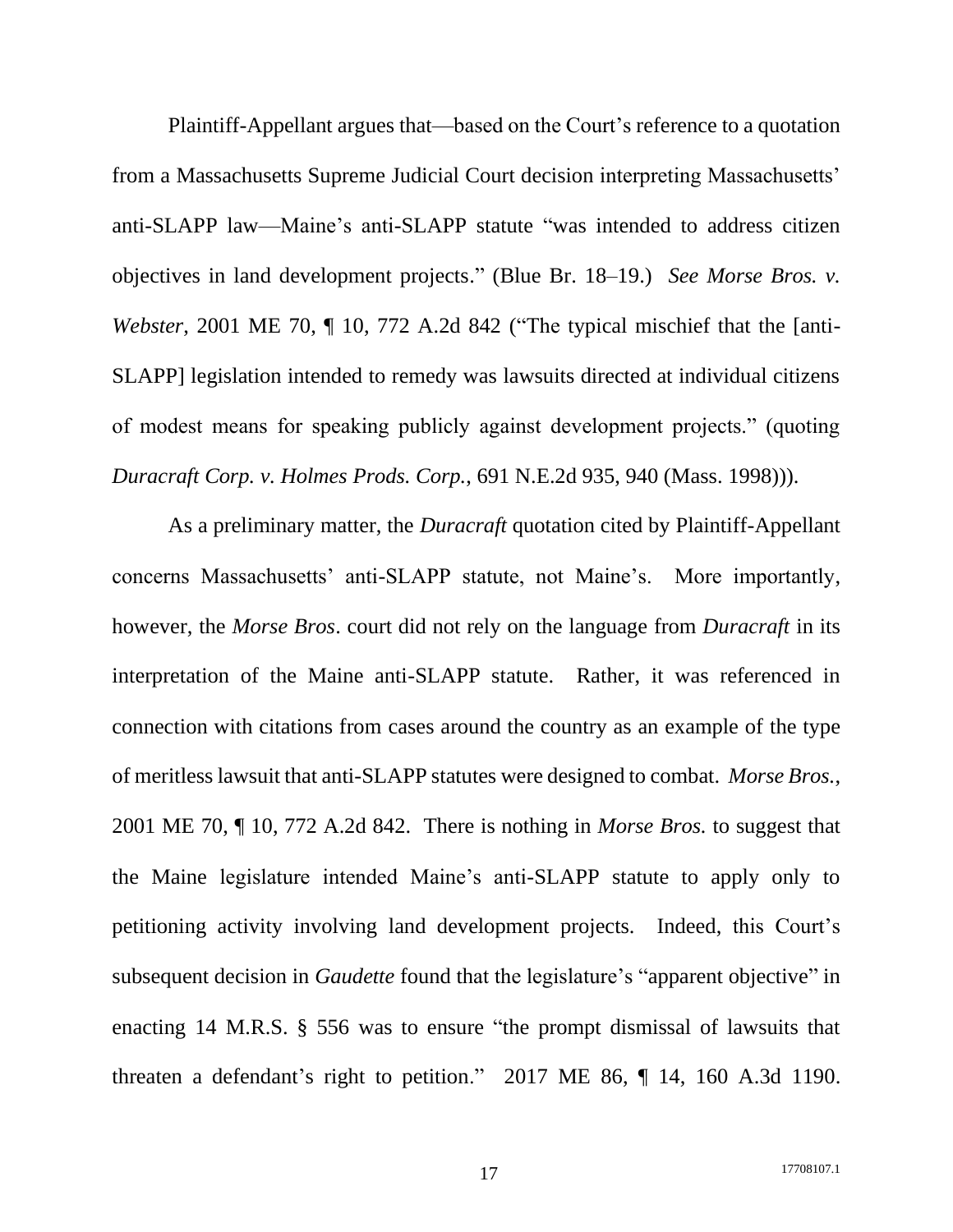Plaintiff-Appellant argues that—based on the Court's reference to a quotation from a Massachusetts Supreme Judicial Court decision interpreting Massachusetts' anti-SLAPP law—Maine's anti-SLAPP statute "was intended to address citizen objectives in land development projects." (Blue Br. 18–19.) *See Morse Bros. v. Webster*, 2001 ME 70,  $\P$  10, 772 A.2d 842 ("The typical mischief that the [anti-SLAPP] legislation intended to remedy was lawsuits directed at individual citizens of modest means for speaking publicly against development projects." (quoting *Duracraft Corp. v. Holmes Prods. Corp.*, 691 N.E.2d 935, 940 (Mass. 1998))).

As a preliminary matter, the *Duracraft* quotation cited by Plaintiff-Appellant concerns Massachusetts' anti-SLAPP statute, not Maine's. More importantly, however, the *Morse Bros*. court did not rely on the language from *Duracraft* in its interpretation of the Maine anti-SLAPP statute. Rather, it was referenced in connection with citations from cases around the country as an example of the type of meritless lawsuit that anti-SLAPP statutes were designed to combat. *Morse Bros.*, 2001 ME 70, ¶ 10, 772 A.2d 842. There is nothing in *Morse Bros.* to suggest that the Maine legislature intended Maine's anti-SLAPP statute to apply only to petitioning activity involving land development projects. Indeed, this Court's subsequent decision in *Gaudette* found that the legislature's "apparent objective" in enacting 14 M.R.S. § 556 was to ensure "the prompt dismissal of lawsuits that threaten a defendant's right to petition." 2017 ME 86, ¶ 14, 160 A.3d 1190.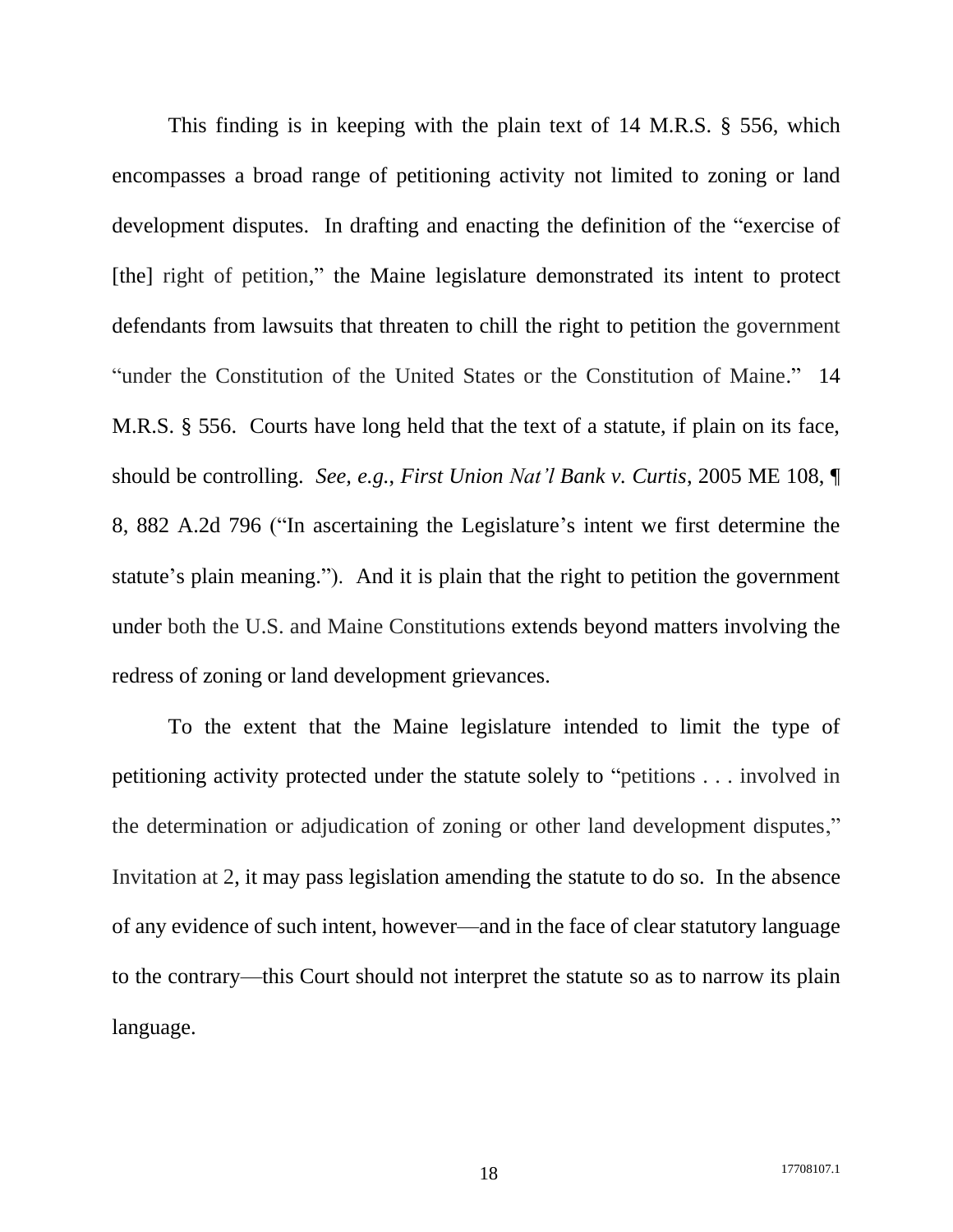This finding is in keeping with the plain text of 14 M.R.S. § 556, which encompasses a broad range of petitioning activity not limited to zoning or land development disputes. In drafting and enacting the definition of the "exercise of [the] right of petition," the Maine legislature demonstrated its intent to protect defendants from lawsuits that threaten to chill the right to petition the government "under the Constitution of the United States or the Constitution of Maine." 14 M.R.S. § 556. Courts have long held that the text of a statute, if plain on its face, should be controlling. *See, e.g.*, *First Union Nat'l Bank v. Curtis*, 2005 ME 108, ¶ 8, 882 A.2d 796 ("In ascertaining the Legislature's intent we first determine the statute's plain meaning."). And it is plain that the right to petition the government under both the U.S. and Maine Constitutions extends beyond matters involving the redress of zoning or land development grievances.

To the extent that the Maine legislature intended to limit the type of petitioning activity protected under the statute solely to "petitions . . . involved in the determination or adjudication of zoning or other land development disputes," Invitation at 2, it may pass legislation amending the statute to do so. In the absence of any evidence of such intent, however—and in the face of clear statutory language to the contrary—this Court should not interpret the statute so as to narrow its plain language.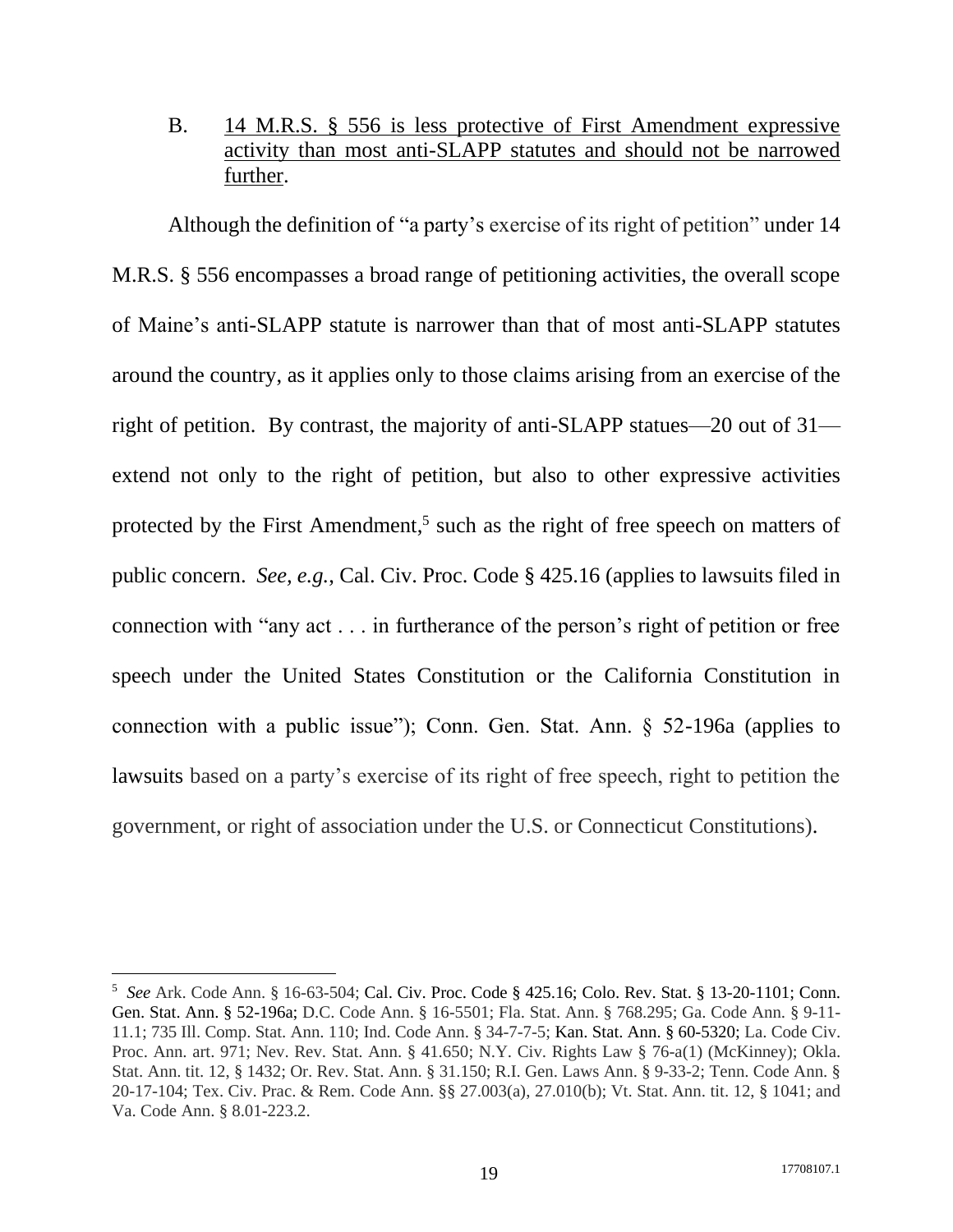## <span id="page-24-0"></span>B. 14 M.R.S. § 556 is less protective of First Amendment expressive activity than most anti-SLAPP statutes and should not be narrowed further.

Although the definition of "a party's exercise of its right of petition" under 14 M.R.S. § 556 encompasses a broad range of petitioning activities, the overall scope of Maine's anti-SLAPP statute is narrower than that of most anti-SLAPP statutes around the country, as it applies only to those claims arising from an exercise of the right of petition. By contrast, the majority of anti-SLAPP statues—20 out of 31 extend not only to the right of petition, but also to other expressive activities protected by the First Amendment,<sup>5</sup> such as the right of free speech on matters of public concern. *See, e.g.*, Cal. Civ. Proc. Code § 425.16 (applies to lawsuits filed in connection with "any act . . . in furtherance of the person's right of petition or free speech under the United States Constitution or the California Constitution in connection with a public issue"); Conn. Gen. Stat. Ann. § 52-196a (applies to lawsuits based on a party's exercise of its right of free speech, right to petition the government, or right of association under the U.S. or Connecticut Constitutions).

<sup>5</sup> *See* Ark. Code Ann. § 16-63-504; Cal. Civ. Proc. Code § 425.16; Colo. Rev. Stat. § 13-20-1101; Conn. Gen. Stat. Ann. § 52-196a; D.C. Code Ann. § 16-5501; Fla. Stat. Ann. § 768.295; Ga. Code Ann. § 9-11- 11.1; 735 Ill. Comp. Stat. Ann. 110; Ind. Code Ann. § 34-7-7-5; Kan. Stat. Ann. § 60-5320; La. Code Civ. Proc. Ann. art. 971; Nev. Rev. Stat. Ann. § 41.650; N.Y. Civ. Rights Law § 76-a(1) (McKinney); Okla. Stat. Ann. tit. 12, § 1432; Or. Rev. Stat. Ann. § 31.150; R.I. Gen. Laws Ann. § 9-33-2; Tenn. Code Ann. § 20-17-104; Tex. Civ. Prac. & Rem. Code Ann. §§ 27.003(a), 27.010(b); Vt. Stat. Ann. tit. 12, § 1041; and Va. Code Ann. § 8.01-223.2.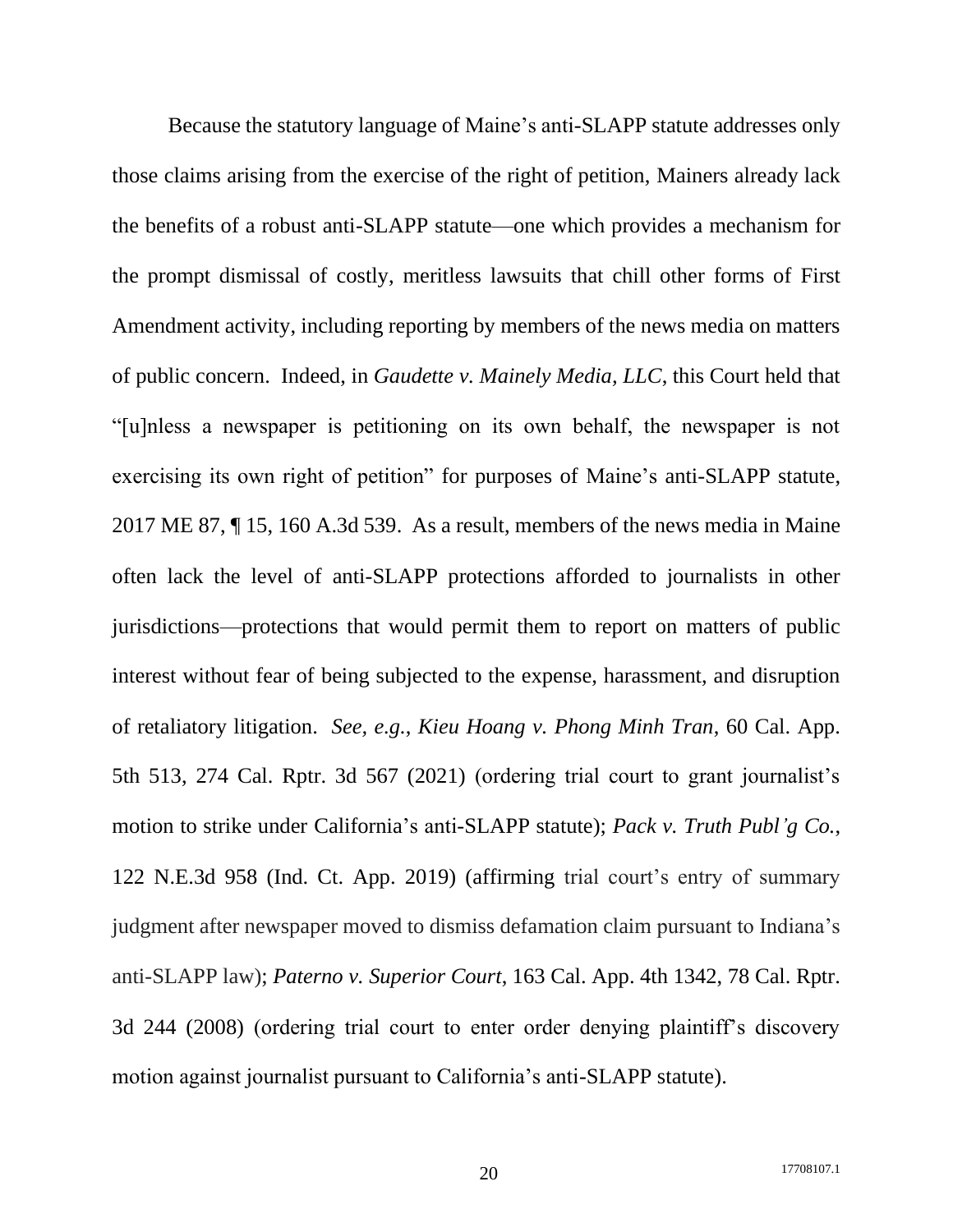Because the statutory language of Maine's anti-SLAPP statute addresses only those claims arising from the exercise of the right of petition, Mainers already lack the benefits of a robust anti-SLAPP statute—one which provides a mechanism for the prompt dismissal of costly, meritless lawsuits that chill other forms of First Amendment activity, including reporting by members of the news media on matters of public concern. Indeed, in *Gaudette v. Mainely Media, LLC*, this Court held that "[u]nless a newspaper is petitioning on its own behalf, the newspaper is not exercising its own right of petition" for purposes of Maine's anti-SLAPP statute, 2017 ME 87, ¶ 15, 160 A.3d 539. As a result, members of the news media in Maine often lack the level of anti-SLAPP protections afforded to journalists in other jurisdictions—protections that would permit them to report on matters of public interest without fear of being subjected to the expense, harassment, and disruption of retaliatory litigation. *See, e.g.*, *Kieu Hoang v. Phong Minh Tran*, 60 Cal. App. 5th 513, 274 Cal. Rptr. 3d 567 (2021) (ordering trial court to grant journalist's motion to strike under California's anti-SLAPP statute); *Pack v. Truth Publ'g Co.*, 122 N.E.3d 958 (Ind. Ct. App. 2019) (affirming trial court's entry of summary judgment after newspaper moved to dismiss defamation claim pursuant to Indiana's anti-SLAPP law); *Paterno v. Superior Court*, 163 Cal. App. 4th 1342, 78 Cal. Rptr. 3d 244 (2008) (ordering trial court to enter order denying plaintiff's discovery motion against journalist pursuant to California's anti-SLAPP statute).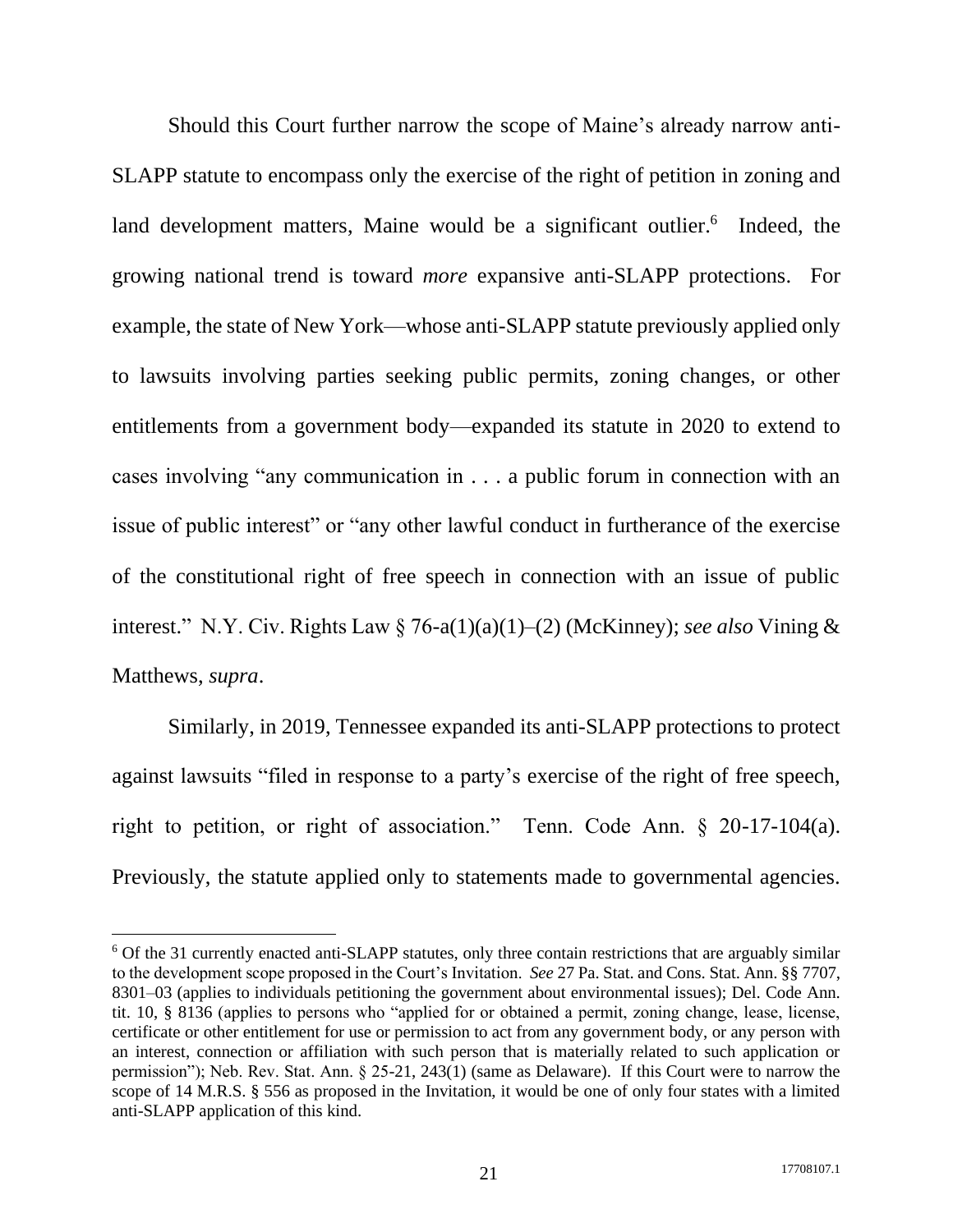Should this Court further narrow the scope of Maine's already narrow anti-SLAPP statute to encompass only the exercise of the right of petition in zoning and land development matters, Maine would be a significant outlier.<sup>6</sup> Indeed, the growing national trend is toward *more* expansive anti-SLAPP protections. For example, the state of New York—whose anti-SLAPP statute previously applied only to lawsuits involving parties seeking public permits, zoning changes, or other entitlements from a government body—expanded its statute in 2020 to extend to cases involving "any communication in . . . a public forum in connection with an issue of public interest" or "any other lawful conduct in furtherance of the exercise of the constitutional right of free speech in connection with an issue of public interest." N.Y. Civ. Rights Law § 76-a(1)(a)(1)–(2) (McKinney); *see also* Vining & Matthews, *supra*.

Similarly, in 2019, Tennessee expanded its anti-SLAPP protections to protect against lawsuits "filed in response to a party's exercise of the right of free speech, right to petition, or right of association." Tenn. Code Ann. § 20-17-104(a). Previously, the statute applied only to statements made to governmental agencies.

<sup>6</sup> Of the 31 currently enacted anti-SLAPP statutes, only three contain restrictions that are arguably similar to the development scope proposed in the Court's Invitation. *See* 27 Pa. Stat. and Cons. Stat. Ann. §§ 7707, 8301–03 (applies to individuals petitioning the government about environmental issues); Del. Code Ann. tit. 10, § 8136 (applies to persons who "applied for or obtained a permit, zoning change, lease, license, certificate or other entitlement for use or permission to act from any government body, or any person with an interest, connection or affiliation with such person that is materially related to such application or permission"); Neb. Rev. Stat. Ann. § 25-21, 243(1) (same as Delaware). If this Court were to narrow the scope of 14 M.R.S. § 556 as proposed in the Invitation, it would be one of only four states with a limited anti-SLAPP application of this kind.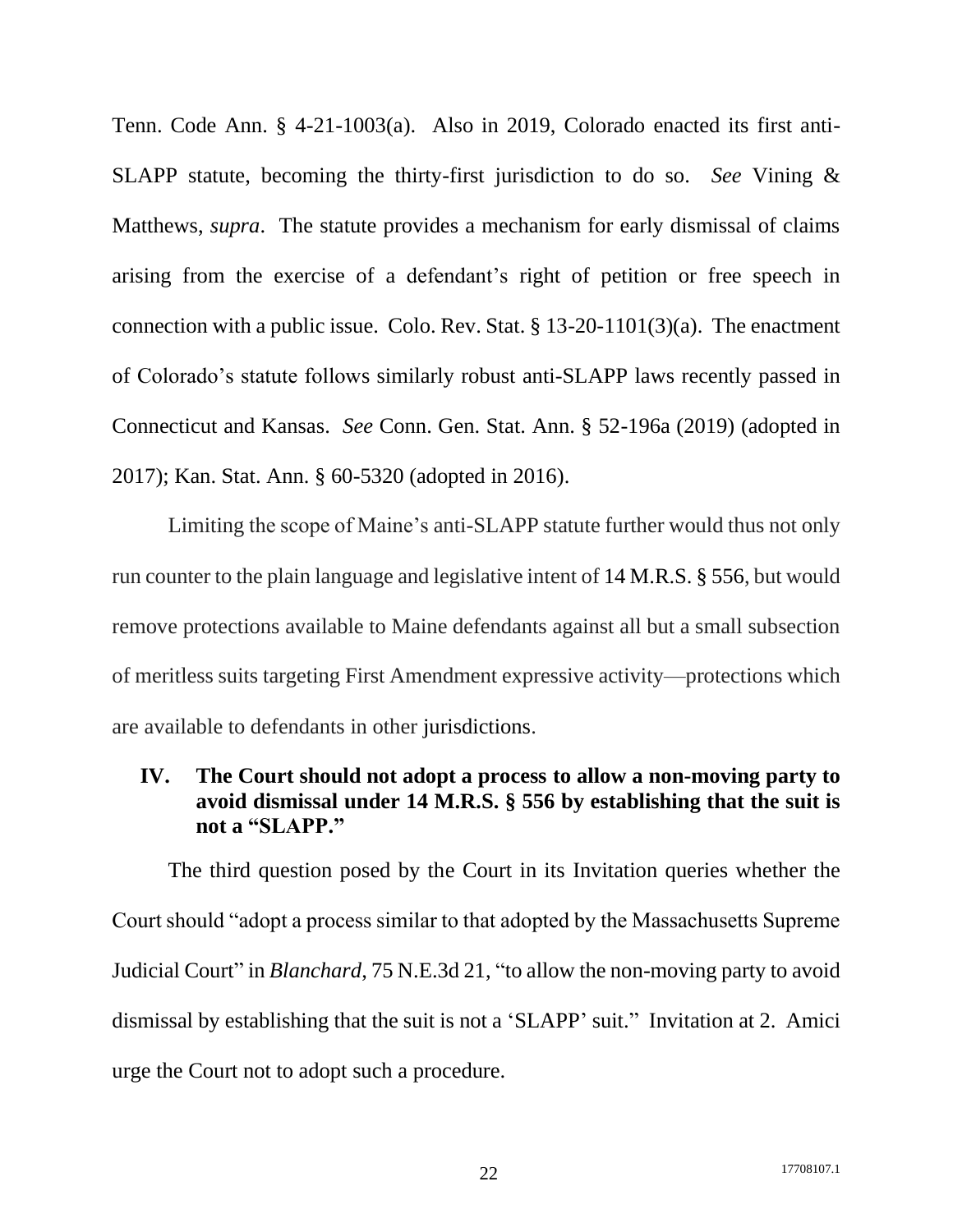Tenn. Code Ann. § 4-21-1003(a). Also in 2019, Colorado enacted its first anti-SLAPP statute, becoming the thirty-first jurisdiction to do so. *See* Vining & Matthews, *supra*. The statute provides a mechanism for early dismissal of claims arising from the exercise of a defendant's right of petition or free speech in connection with a public issue. Colo. Rev. Stat. § 13-20-1101(3)(a). The enactment of Colorado's statute follows similarly robust anti-SLAPP laws recently passed in Connecticut and Kansas. *See* Conn. Gen. Stat. Ann. § 52-196a (2019) (adopted in 2017); Kan. Stat. Ann. § 60-5320 (adopted in 2016).

Limiting the scope of Maine's anti-SLAPP statute further would thus not only run counter to the plain language and legislative intent of 14 M.R.S. § 556, but would remove protections available to Maine defendants against all but a small subsection of meritless suits targeting First Amendment expressive activity—protections which are available to defendants in other jurisdictions.

### <span id="page-27-0"></span>**IV. The Court should not adopt a process to allow a non-moving party to avoid dismissal under 14 M.R.S. § 556 by establishing that the suit is not a "SLAPP."**

The third question posed by the Court in its Invitation queries whether the Court should "adopt a process similar to that adopted by the Massachusetts Supreme Judicial Court" in *Blanchard*, 75 N.E.3d 21, "to allow the non-moving party to avoid dismissal by establishing that the suit is not a 'SLAPP' suit." Invitation at 2. Amici urge the Court not to adopt such a procedure.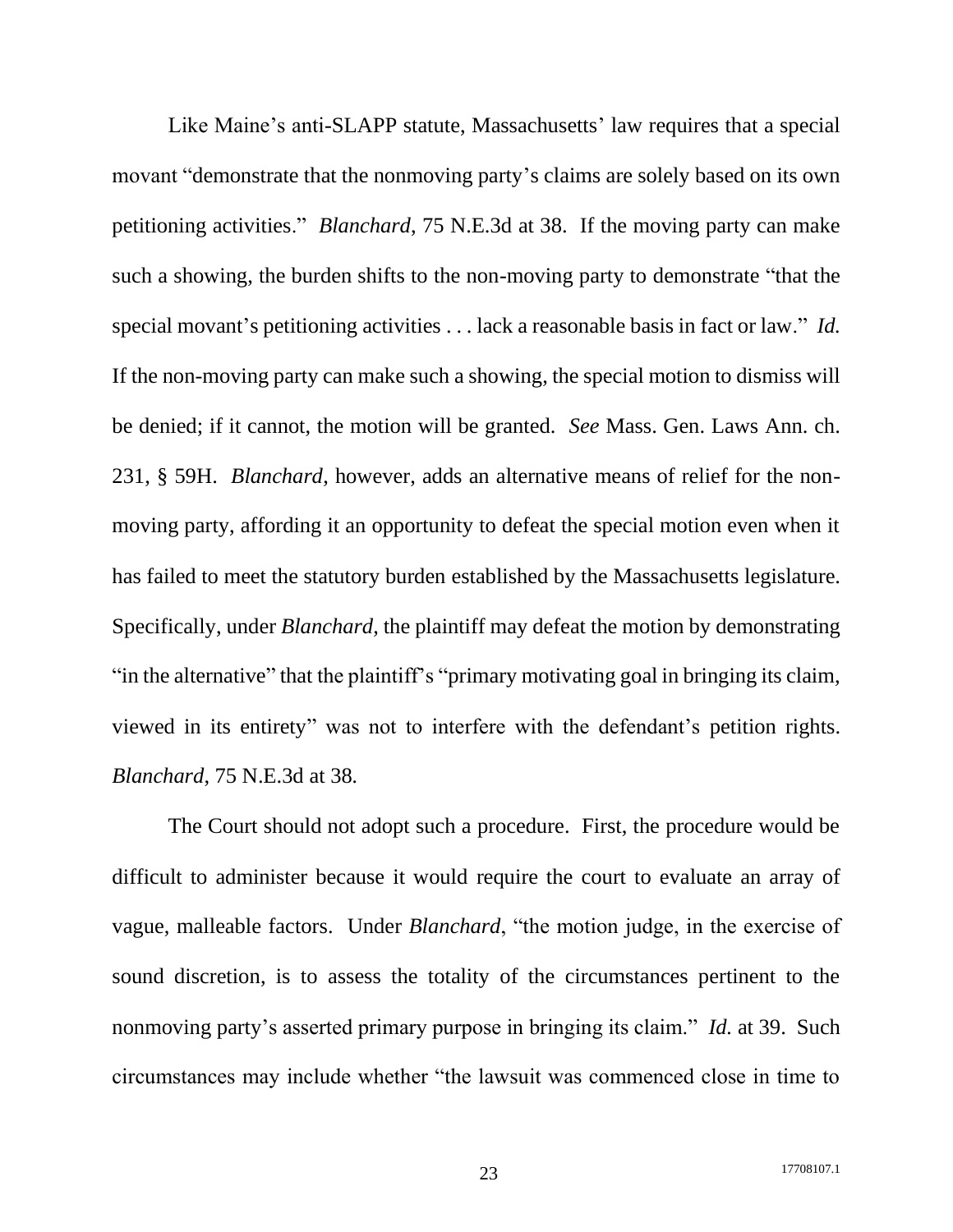Like Maine's anti-SLAPP statute, Massachusetts' law requires that a special movant "demonstrate that the nonmoving party's claims are solely based on its own petitioning activities." *Blanchard*, 75 N.E.3d at 38. If the moving party can make such a showing, the burden shifts to the non-moving party to demonstrate "that the special movant's petitioning activities . . . lack a reasonable basis in fact or law." *Id.* If the non-moving party can make such a showing, the special motion to dismiss will be denied; if it cannot, the motion will be granted. *See* Mass. Gen. Laws Ann. ch. 231, § 59H. *Blanchard*, however, adds an alternative means of relief for the nonmoving party, affording it an opportunity to defeat the special motion even when it has failed to meet the statutory burden established by the Massachusetts legislature. Specifically, under *Blanchard*, the plaintiff may defeat the motion by demonstrating "in the alternative" that the plaintiff's "primary motivating goal in bringing its claim, viewed in its entirety" was not to interfere with the defendant's petition rights. *Blanchard*, 75 N.E.3d at 38*.*

The Court should not adopt such a procedure. First, the procedure would be difficult to administer because it would require the court to evaluate an array of vague, malleable factors. Under *Blanchard*, "the motion judge, in the exercise of sound discretion, is to assess the totality of the circumstances pertinent to the nonmoving party's asserted primary purpose in bringing its claim." *Id.* at 39. Such circumstances may include whether "the lawsuit was commenced close in time to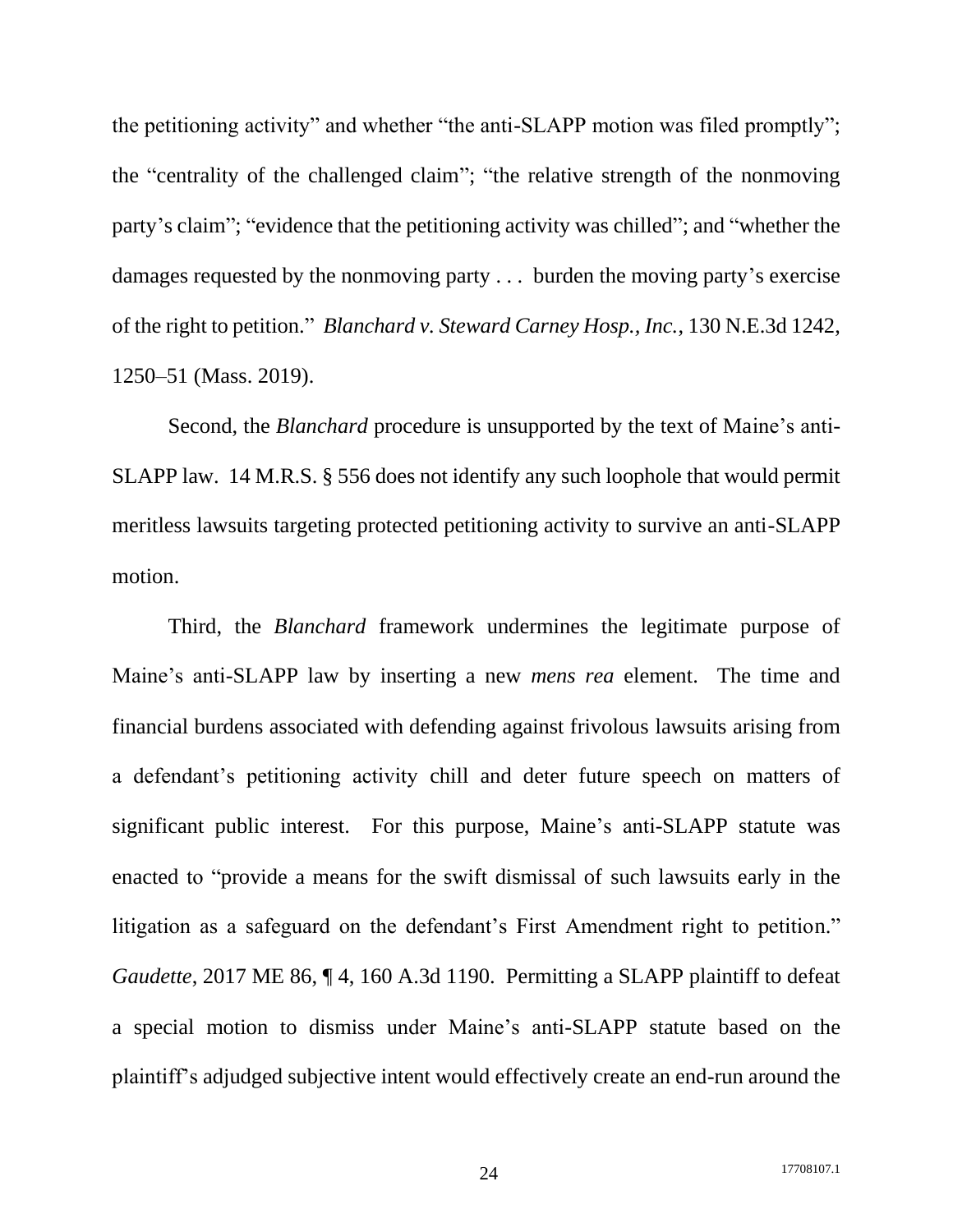the petitioning activity" and whether "the anti-SLAPP motion was filed promptly"; the "centrality of the challenged claim"; "the relative strength of the nonmoving party's claim"; "evidence that the petitioning activity was chilled"; and "whether the damages requested by the nonmoving party . . . burden the moving party's exercise of the right to petition." *Blanchard v. Steward Carney Hosp., Inc.*, 130 N.E.3d 1242, 1250–51 (Mass. 2019).

Second, the *Blanchard* procedure is unsupported by the text of Maine's anti-SLAPP law. 14 M.R.S. § 556 does not identify any such loophole that would permit meritless lawsuits targeting protected petitioning activity to survive an anti-SLAPP motion.

Third, the *Blanchard* framework undermines the legitimate purpose of Maine's anti-SLAPP law by inserting a new *mens rea* element. The time and financial burdens associated with defending against frivolous lawsuits arising from a defendant's petitioning activity chill and deter future speech on matters of significant public interest. For this purpose, Maine's anti-SLAPP statute was enacted to "provide a means for the swift dismissal of such lawsuits early in the litigation as a safeguard on the defendant's First Amendment right to petition." *Gaudette*, 2017 ME 86, 14, 160 A.3d 1190. Permitting a SLAPP plaintiff to defeat a special motion to dismiss under Maine's anti-SLAPP statute based on the plaintiff's adjudged subjective intent would effectively create an end-run around the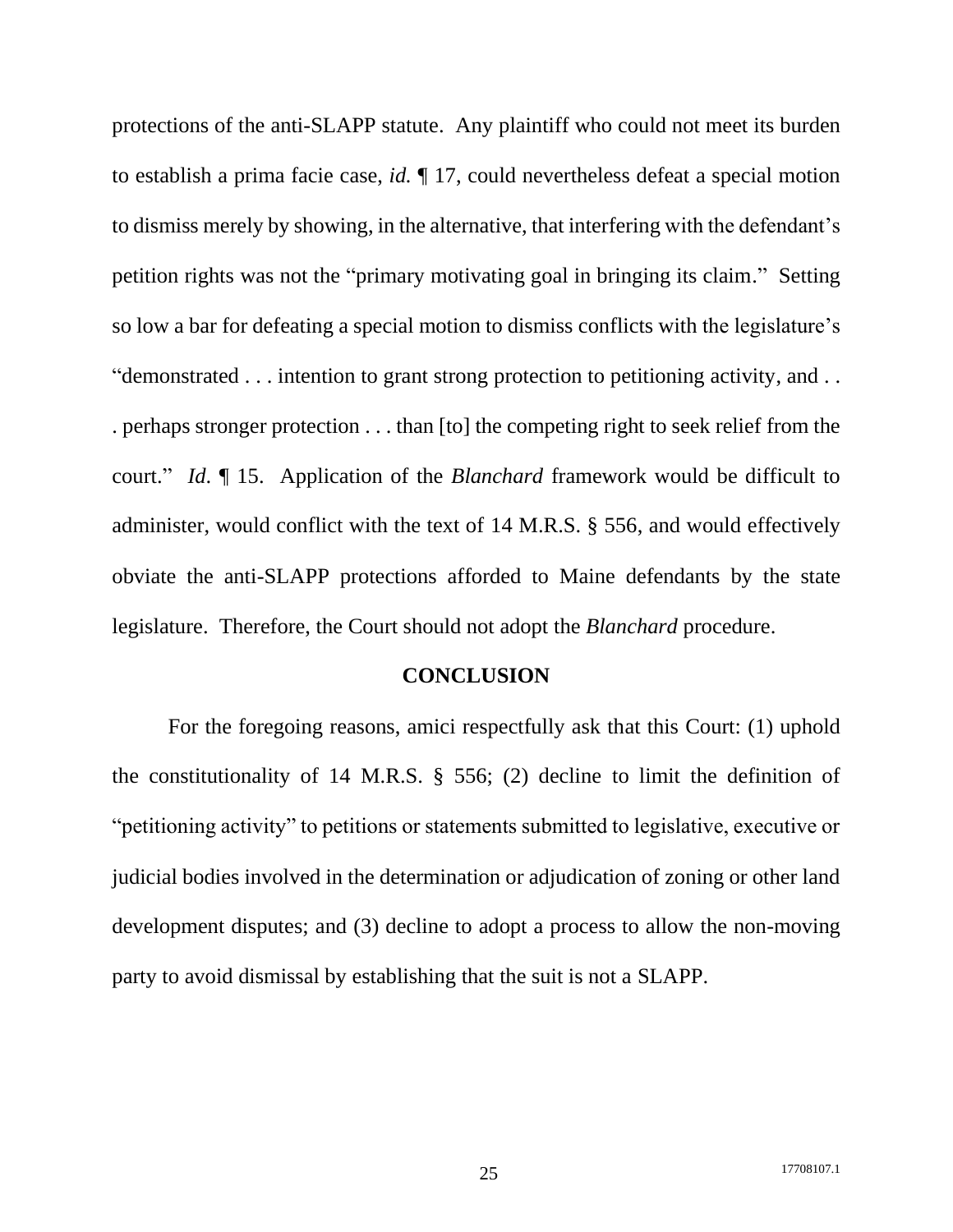protections of the anti-SLAPP statute. Any plaintiff who could not meet its burden to establish a prima facie case, *id.* ¶ 17, could nevertheless defeat a special motion to dismiss merely by showing, in the alternative, that interfering with the defendant's petition rights was not the "primary motivating goal in bringing its claim." Setting so low a bar for defeating a special motion to dismiss conflicts with the legislature's "demonstrated . . . intention to grant strong protection to petitioning activity, and . . . perhaps stronger protection . . . than [to] the competing right to seek relief from the court." *Id*. ¶ 15. Application of the *Blanchard* framework would be difficult to administer, would conflict with the text of 14 M.R.S. § 556, and would effectively obviate the anti-SLAPP protections afforded to Maine defendants by the state legislature. Therefore, the Court should not adopt the *Blanchard* procedure.

#### **CONCLUSION**

<span id="page-30-0"></span>For the foregoing reasons, amici respectfully ask that this Court: (1) uphold the constitutionality of 14 M.R.S. § 556; (2) decline to limit the definition of "petitioning activity" to petitions or statements submitted to legislative, executive or judicial bodies involved in the determination or adjudication of zoning or other land development disputes; and (3) decline to adopt a process to allow the non-moving party to avoid dismissal by establishing that the suit is not a SLAPP.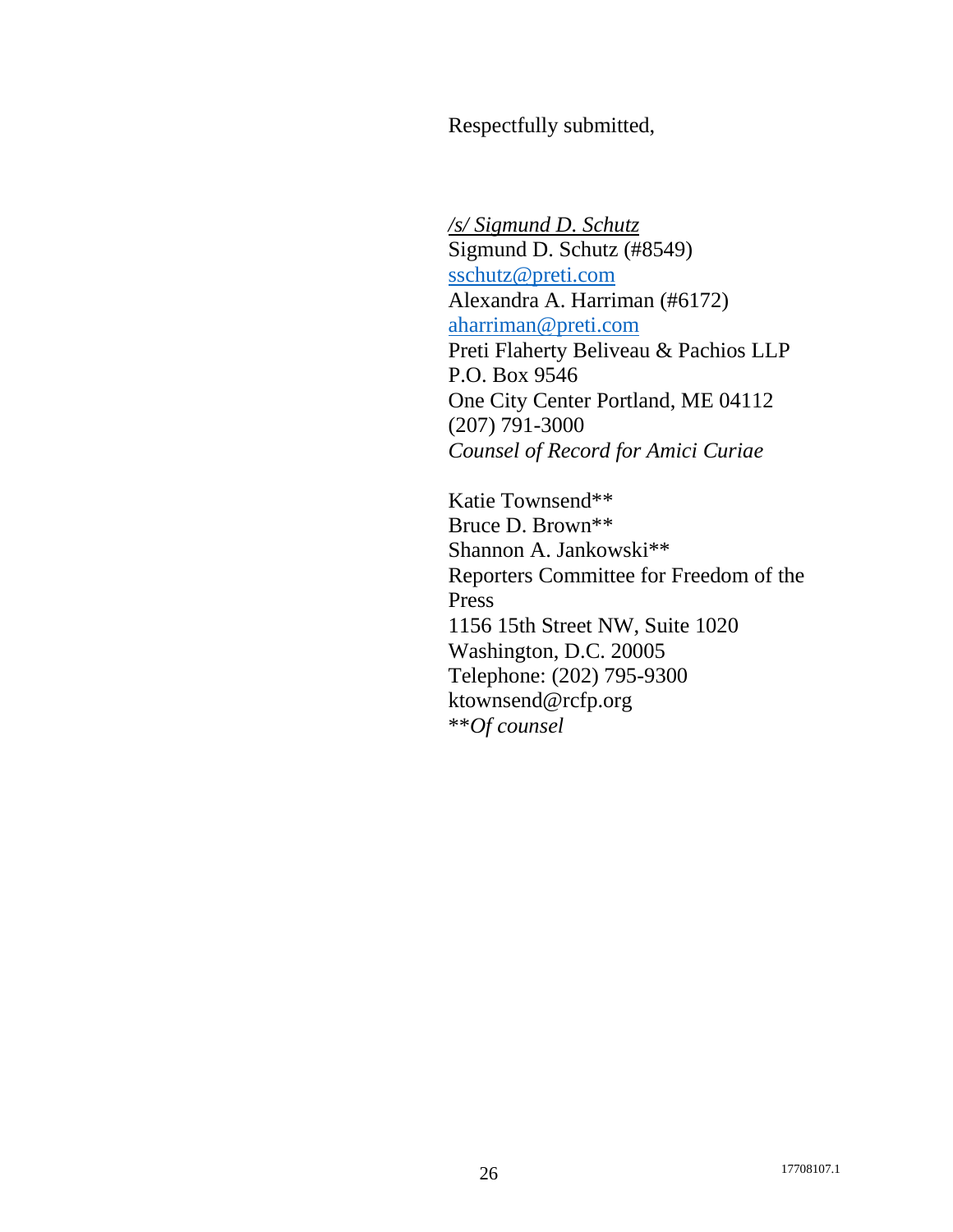Respectfully submitted,

*/s/ Sigmund D. Schutz* Sigmund D. Schutz (#8549) [sschutz@preti.com](mailto:sschutz@preti.com) Alexandra A. Harriman (#6172) [aharriman@preti.com](mailto:aharriman@preti.com) Preti Flaherty Beliveau & Pachios LLP P.O. Box 9546 One City Center Portland, ME 04112 (207) 791-3000 *Counsel of Record for Amici Curiae*

Katie Townsend\*\* Bruce D. Brown\*\* Shannon A. Jankowski\*\* Reporters Committee for Freedom of the Press 1156 15th Street NW, Suite 1020 Washington, D.C. 20005 Telephone: (202) 795-9300 ktownsend@rcfp.org \*\**Of counsel*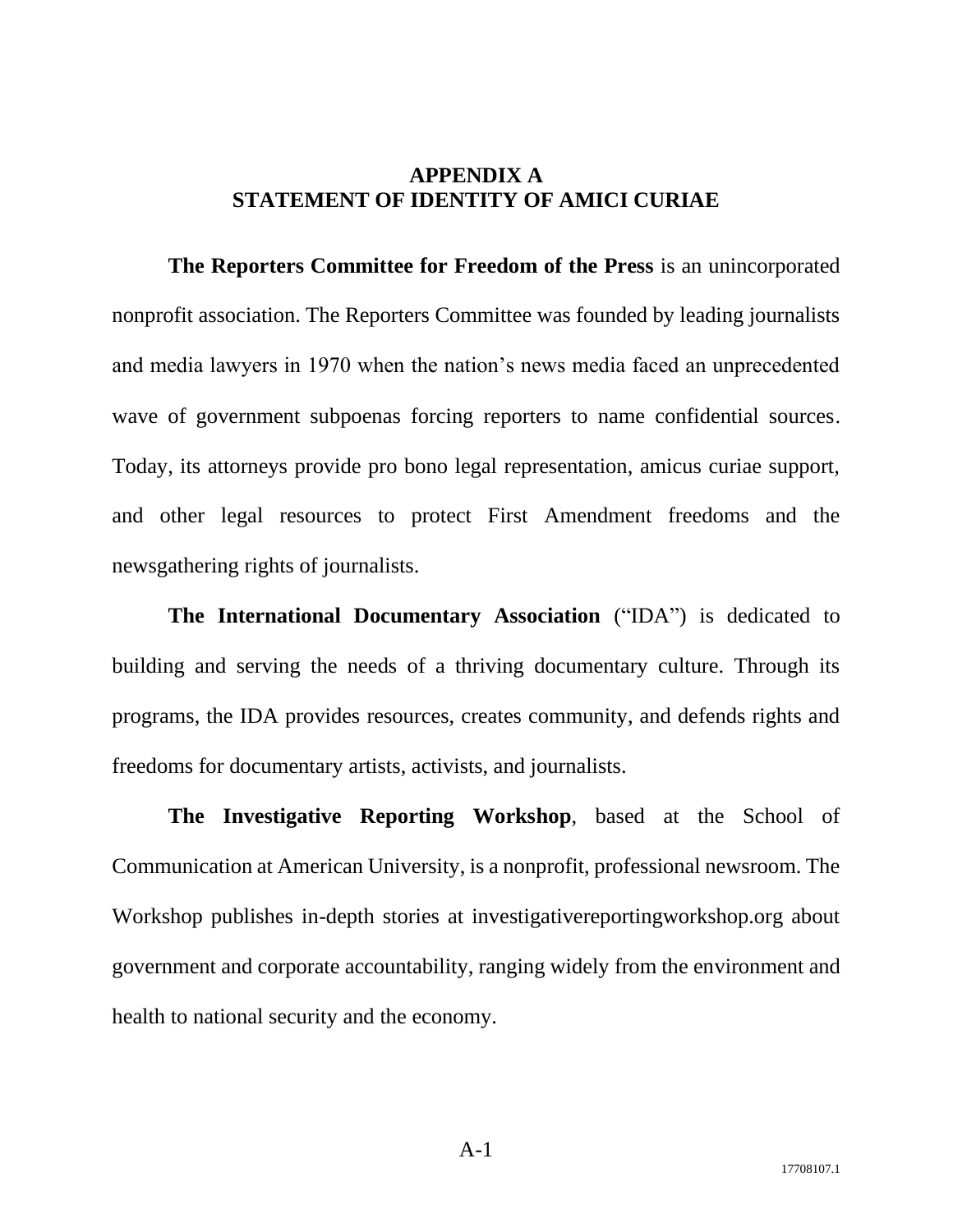### **APPENDIX A STATEMENT OF IDENTITY OF AMICI CURIAE**

<span id="page-32-0"></span>**The Reporters Committee for Freedom of the Press** is an unincorporated nonprofit association. The Reporters Committee was founded by leading journalists and media lawyers in 1970 when the nation's news media faced an unprecedented wave of government subpoenas forcing reporters to name confidential sources. Today, its attorneys provide pro bono legal representation, amicus curiae support, and other legal resources to protect First Amendment freedoms and the newsgathering rights of journalists.

**The International Documentary Association** ("IDA") is dedicated to building and serving the needs of a thriving documentary culture. Through its programs, the IDA provides resources, creates community, and defends rights and freedoms for documentary artists, activists, and journalists.

**The Investigative Reporting Workshop**, based at the School of Communication at American University, is a nonprofit, professional newsroom. The Workshop publishes in-depth stories at investigativereportingworkshop.org about government and corporate accountability, ranging widely from the environment and health to national security and the economy.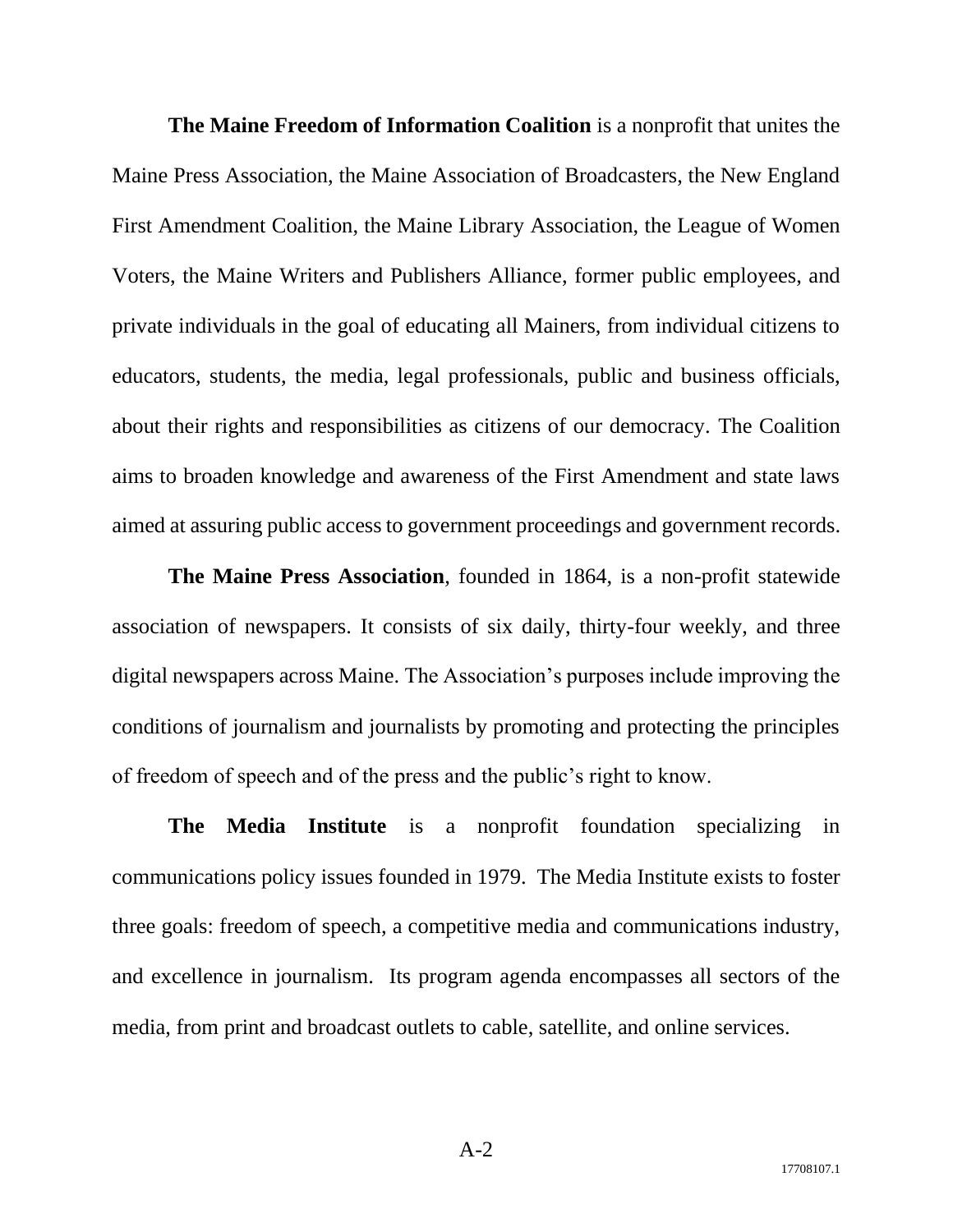**The Maine Freedom of Information Coalition** is a nonprofit that unites the Maine Press Association, the Maine Association of Broadcasters, the New England First Amendment Coalition, the Maine Library Association, the League of Women Voters, the Maine Writers and Publishers Alliance, former public employees, and private individuals in the goal of educating all Mainers, from individual citizens to educators, students, the media, legal professionals, public and business officials, about their rights and responsibilities as citizens of our democracy. The Coalition aims to broaden knowledge and awareness of the First Amendment and state laws aimed at assuring public access to government proceedings and government records.

**The Maine Press Association**, founded in 1864, is a non-profit statewide association of newspapers. It consists of six daily, thirty-four weekly, and three digital newspapers across Maine. The Association's purposes include improving the conditions of journalism and journalists by promoting and protecting the principles of freedom of speech and of the press and the public's right to know.

**The Media Institute** is a nonprofit foundation specializing in communications policy issues founded in 1979. The Media Institute exists to foster three goals: freedom of speech, a competitive media and communications industry, and excellence in journalism. Its program agenda encompasses all sectors of the media, from print and broadcast outlets to cable, satellite, and online services.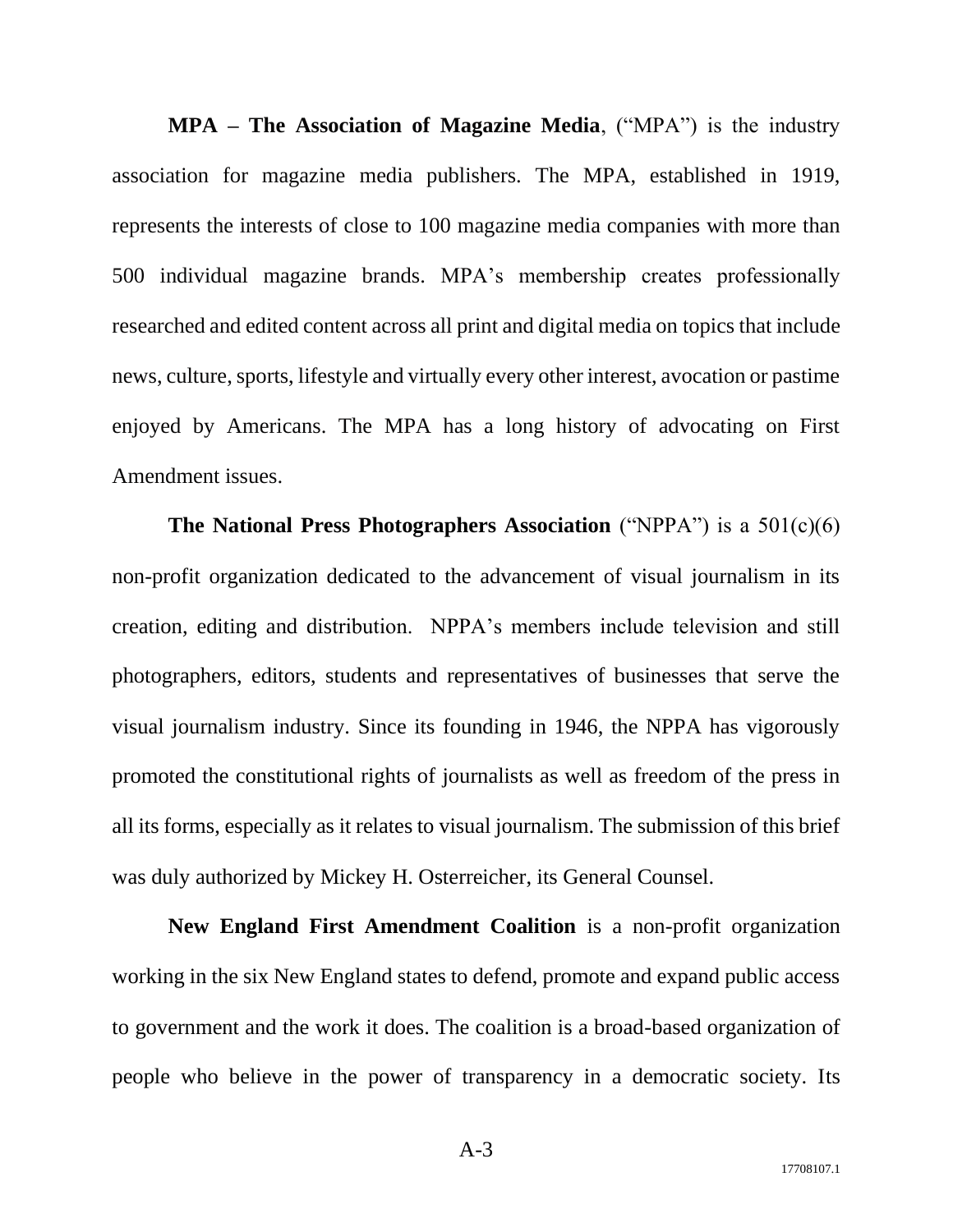**MPA – The Association of Magazine Media**, ("MPA") is the industry association for magazine media publishers. The MPA, established in 1919, represents the interests of close to 100 magazine media companies with more than 500 individual magazine brands. MPA's membership creates professionally researched and edited content across all print and digital media on topics that include news, culture, sports, lifestyle and virtually every other interest, avocation or pastime enjoyed by Americans. The MPA has a long history of advocating on First Amendment issues.

**The National Press Photographers Association** ("NPPA") is a 501(c)(6) non-profit organization dedicated to the advancement of visual journalism in its creation, editing and distribution. NPPA's members include television and still photographers, editors, students and representatives of businesses that serve the visual journalism industry. Since its founding in 1946, the NPPA has vigorously promoted the constitutional rights of journalists as well as freedom of the press in all its forms, especially as it relates to visual journalism. The submission of this brief was duly authorized by Mickey H. Osterreicher, its General Counsel.

**New England First Amendment Coalition** is a non-profit organization working in the six New England states to defend, promote and expand public access to government and the work it does. The coalition is a broad-based organization of people who believe in the power of transparency in a democratic society. Its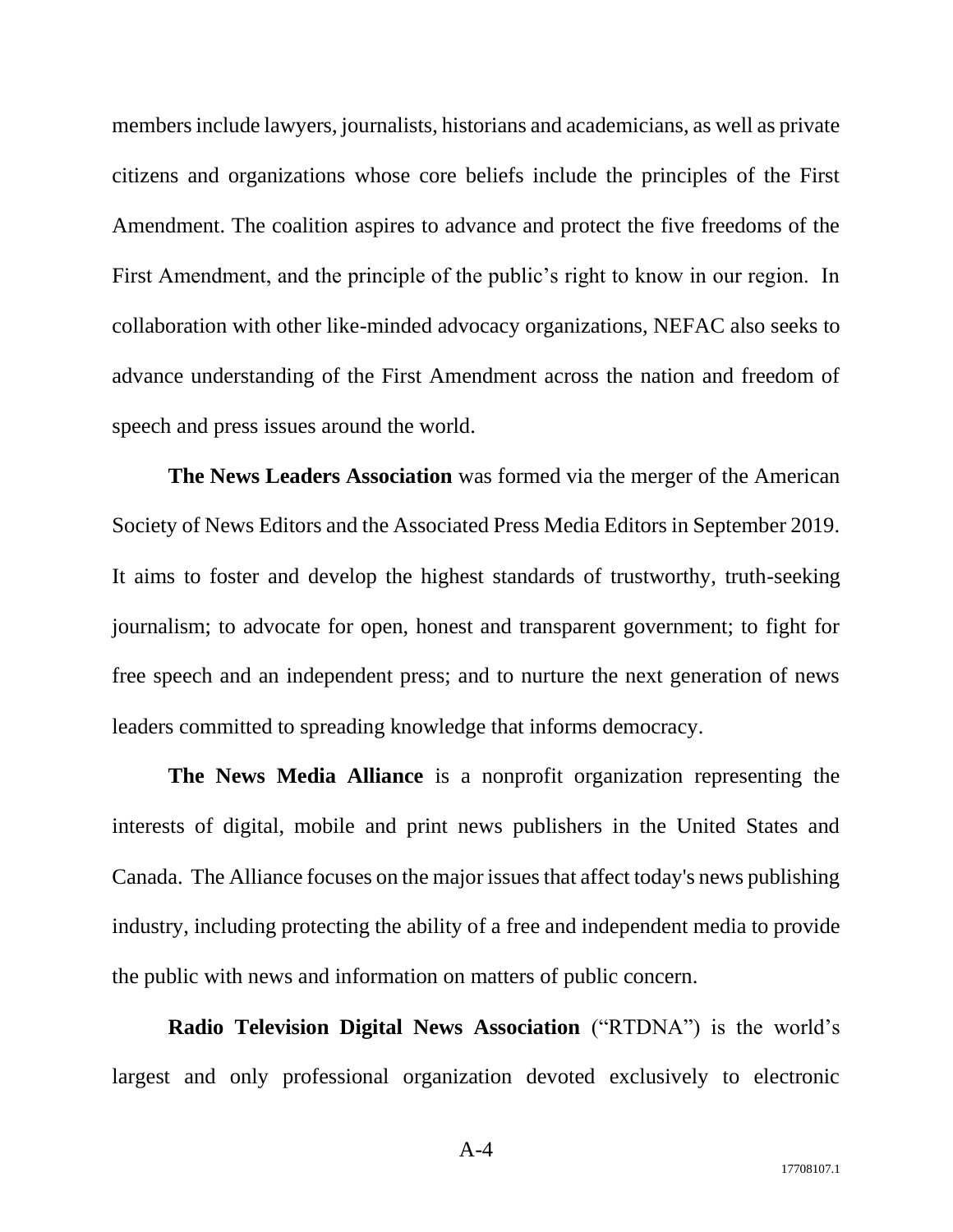members include lawyers, journalists, historians and academicians, as well as private citizens and organizations whose core beliefs include the principles of the First Amendment. The coalition aspires to advance and protect the five freedoms of the First Amendment, and the principle of the public's right to know in our region. In collaboration with other like-minded advocacy organizations, NEFAC also seeks to advance understanding of the First Amendment across the nation and freedom of speech and press issues around the world.

**The News Leaders Association** was formed via the merger of the American Society of News Editors and the Associated Press Media Editors in September 2019. It aims to foster and develop the highest standards of trustworthy, truth-seeking journalism; to advocate for open, honest and transparent government; to fight for free speech and an independent press; and to nurture the next generation of news leaders committed to spreading knowledge that informs democracy.

**The News Media Alliance** is a nonprofit organization representing the interests of digital, mobile and print news publishers in the United States and Canada. The Alliance focuses on the major issues that affect today's news publishing industry, including protecting the ability of a free and independent media to provide the public with news and information on matters of public concern.

**Radio Television Digital News Association** ("RTDNA") is the world's largest and only professional organization devoted exclusively to electronic

A-4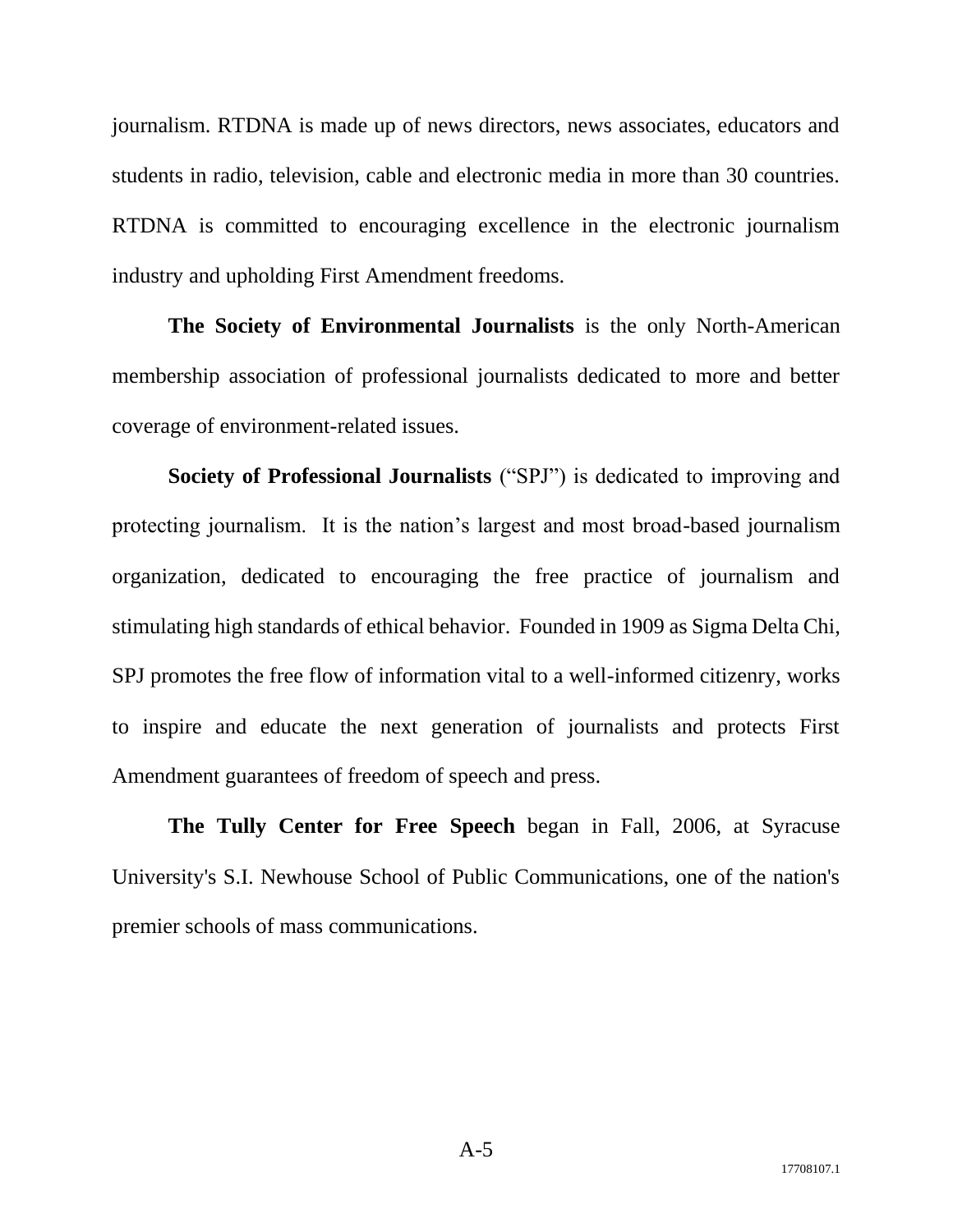journalism. RTDNA is made up of news directors, news associates, educators and students in radio, television, cable and electronic media in more than 30 countries. RTDNA is committed to encouraging excellence in the electronic journalism industry and upholding First Amendment freedoms.

**The Society of Environmental Journalists** is the only North-American membership association of professional journalists dedicated to more and better coverage of environment-related issues.

**Society of Professional Journalists** ("SPJ") is dedicated to improving and protecting journalism. It is the nation's largest and most broad-based journalism organization, dedicated to encouraging the free practice of journalism and stimulating high standards of ethical behavior. Founded in 1909 as Sigma Delta Chi, SPJ promotes the free flow of information vital to a well-informed citizenry, works to inspire and educate the next generation of journalists and protects First Amendment guarantees of freedom of speech and press.

**The Tully Center for Free Speech** began in Fall, 2006, at Syracuse University's S.I. Newhouse School of Public Communications, one of the nation's premier schools of mass communications.